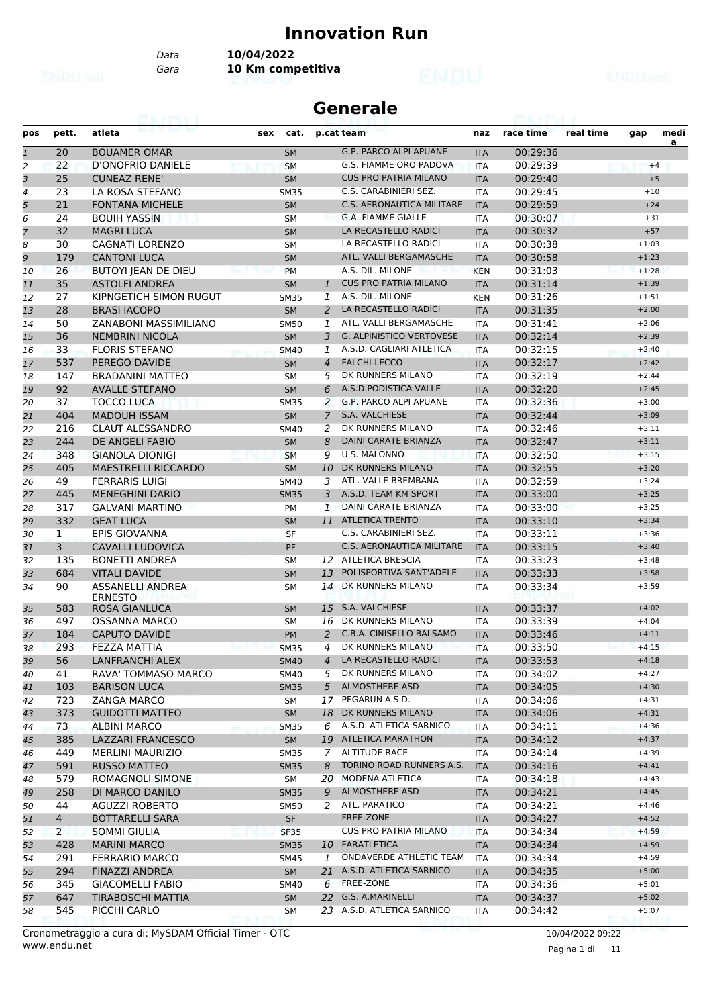#### **Innovation Run**

**Generale**

*Data* **10/04/2022**

*Gara* **10 Km competitiva**

| pos                      | pett.          | atleta                     | sex<br>cat.                       |                | p.cat team                       | naz        | race time | real time | gap     | medi |
|--------------------------|----------------|----------------------------|-----------------------------------|----------------|----------------------------------|------------|-----------|-----------|---------|------|
| $\mathbf{1}$             | 20             | <b>BOUAMER OMAR</b>        | <b>SM</b>                         |                | <b>G.P. PARCO ALPI APUANE</b>    | <b>ITA</b> | 00:29:36  |           |         | a    |
| $\overline{c}$           | 22             | D'ONOFRIO DANIELE          | <b>SM</b>                         |                | G.S. FIAMME ORO PADOVA           | <b>ITA</b> | 00:29:39  |           | $+4$    |      |
| 3                        | 25             | <b>CUNEAZ RENE'</b>        | <b>SM</b>                         |                | <b>CUS PRO PATRIA MILANO</b>     | <b>ITA</b> | 00:29:40  |           | $+5$    |      |
| $\overline{\mathcal{A}}$ | 23             | LA ROSA STEFANO            | <b>SM35</b>                       |                | C.S. CARABINIERI SEZ.            | <b>ITA</b> | 00:29:45  |           | $+10$   |      |
| 5                        | 21             | <b>FONTANA MICHELE</b>     | <b>SM</b>                         |                | <b>C.S. AERONAUTICA MILITARE</b> | <b>ITA</b> | 00:29:59  |           | $+24$   |      |
| 6                        | 24             | <b>BOUIH YASSIN</b>        | SΜ                                |                | <b>G.A. FIAMME GIALLE</b>        | <b>ITA</b> | 00:30:07  |           | $+31$   |      |
| 7                        | 32             | <b>MAGRI LUCA</b>          | <b>SM</b>                         |                | LA RECASTELLO RADICI             | <b>ITA</b> | 00:30:32  |           | $+57$   |      |
| 8                        | 30             | <b>CAGNATI LORENZO</b>     | <b>SM</b>                         |                | LA RECASTELLO RADICI             | <b>ITA</b> | 00:30:38  |           | $+1:03$ |      |
| 9                        | 179            | <b>CANTONI LUCA</b>        | <b>SM</b>                         |                | ATL. VALLI BERGAMASCHE           | <b>ITA</b> | 00:30:58  |           | $+1:23$ |      |
| 10                       | 26             | BUTOYI JEAN DE DIEU        | PM                                |                | A.S. DIL. MILONE                 | <b>KEN</b> | 00:31:03  |           | $+1:28$ |      |
| 11                       | 35             | <b>ASTOLFI ANDREA</b>      | <b>SM</b>                         | $\mathbf{1}$   | <b>CUS PRO PATRIA MILANO</b>     | <b>ITA</b> | 00:31:14  |           | $+1:39$ |      |
| 12                       | 27             | KIPNGETICH SIMON RUGUT     | <b>SM35</b>                       | 1              | A.S. DIL. MILONE                 | <b>KEN</b> | 00:31:26  |           | $+1:51$ |      |
| 13                       | 28             | <b>BRASI IACOPO</b>        | <b>SM</b>                         | 2              | LA RECASTELLO RADICI             | <b>ITA</b> | 00:31:35  |           | $+2:00$ |      |
| 14                       | 50             | ZANABONI MASSIMILIANO      | <b>SM50</b>                       | 1              | ATL. VALLI BERGAMASCHE           | <b>ITA</b> | 00:31:41  |           | $+2:06$ |      |
| 15                       | 36             | <b>NEMBRINI NICOLA</b>     | <b>SM</b>                         | 3              | <b>G. ALPINISTICO VERTOVESE</b>  | <b>ITA</b> | 00:32:14  |           | $+2:39$ |      |
| 16                       | 33             | <b>FLORIS STEFANO</b>      | <b>SM40</b>                       | 1              | A.S.D. CAGLIARI ATLETICA         | <b>ITA</b> | 00:32:15  |           | $+2:40$ |      |
| 17                       | 537            | PEREGO DAVIDE              | <b>SM</b>                         | $\overline{4}$ | <b>FALCHI-LECCO</b>              | <b>ITA</b> | 00:32:17  |           | $+2:42$ |      |
| 18                       | 147            | <b>BRADANINI MATTEO</b>    | SM                                | 5              | DK RUNNERS MILANO                | <b>ITA</b> | 00:32:19  |           | $+2:44$ |      |
| 19                       | 92             | <b>AVALLE STEFANO</b>      | <b>SM</b>                         | 6              | A.S.D.PODISTICA VALLE            | <b>ITA</b> | 00:32:20  |           | $+2:45$ |      |
| 20                       | 37             | <b>TOCCO LUCA</b>          | <b>SM35</b>                       | 2              | <b>G.P. PARCO ALPI APUANE</b>    | <b>ITA</b> | 00:32:36  |           | $+3:00$ |      |
| 21                       | 404            | <b>MADOUH ISSAM</b>        | <b>SM</b>                         | $\overline{7}$ | S.A. VALCHIESE                   | <b>ITA</b> | 00:32:44  |           | $+3:09$ |      |
| 22                       | 216            | <b>CLAUT ALESSANDRO</b>    | SM40                              | 2              | DK RUNNERS MILANO                | <b>ITA</b> | 00:32:46  |           | $+3:11$ |      |
| 23                       | 244            | DE ANGELI FABIO            | <b>SM</b>                         | 8              | <b>DAINI CARATE BRIANZA</b>      | <b>ITA</b> | 00:32:47  |           | $+3:11$ |      |
| 24                       | 348            | <b>GIANOLA DIONIGI</b>     | <b>SM</b>                         | 9              | <b>U.S. MALONNO</b>              | <b>ITA</b> | 00:32:50  |           | $+3:15$ |      |
| 25                       | 405            | <b>MAESTRELLI RICCARDO</b> | <b>SM</b>                         | 10             | DK RUNNERS MILANO                | <b>ITA</b> | 00:32:55  |           | $+3:20$ |      |
| 26                       | 49             | <b>FERRARIS LUIGI</b>      | SM40                              | 3              | ATL. VALLE BREMBANA              | <b>ITA</b> | 00:32:59  |           | $+3:24$ |      |
| 27                       | 445            | <b>MENEGHINI DARIO</b>     | <b>SM35</b>                       | 3              | A.S.D. TEAM KM SPORT             | <b>ITA</b> | 00:33:00  |           | $+3:25$ |      |
| 28                       | 317            | <b>GALVANI MARTINO</b>     | PM                                | 1              | <b>DAINI CARATE BRIANZA</b>      | <b>ITA</b> | 00:33:00  |           | $+3:25$ |      |
| 29                       | 332            | <b>GEAT LUCA</b>           | <b>SM</b>                         |                | 11 ATLETICA TRENTO               | <b>ITA</b> | 00:33:10  |           | $+3:34$ |      |
| 30                       | 1              | <b>EPIS GIOVANNA</b>       | SF                                |                | C.S. CARABINIERI SEZ.            | <b>ITA</b> | 00:33:11  |           | $+3:36$ |      |
| 31                       | 3              | <b>CAVALLI LUDOVICA</b>    | PF                                |                | <b>C.S. AERONAUTICA MILITARE</b> | <b>ITA</b> | 00:33:15  |           | $+3:40$ |      |
| 32                       | 135            | <b>BONETTI ANDREA</b>      | <b>SM</b>                         |                | 12 ATLETICA BRESCIA              | <b>ITA</b> | 00:33:23  |           | $+3:48$ |      |
| 33                       | 684            | <b>VITALI DAVIDE</b>       | <b>SM</b>                         | 13             | POLISPORTIVA SANT'ADELE          | <b>ITA</b> | 00:33:33  |           | $+3:58$ |      |
| 34                       | 90             | <b>ASSANELLI ANDREA</b>    | SM                                | 14             | DK RUNNERS MILANO                | <b>ITA</b> | 00:33:34  |           | $+3:59$ |      |
|                          |                | <b>ERNESTO</b>             |                                   |                |                                  |            |           |           |         |      |
| 35                       | 583            | <b>ROSA GIANLUCA</b>       | <b>SM</b>                         | 15             | S.A. VALCHIESE                   | <b>ITA</b> | 00:33:37  |           | $+4:02$ |      |
| 36                       | 497            | <b>OSSANNA MARCO</b>       | <b>SM</b>                         | 16             | DK RUNNERS MILANO                | <b>ITA</b> | 00:33:39  |           | $+4:04$ |      |
| 37                       | 184            | <b>CAPUTO DAVIDE</b>       | PM                                | 2              | C.B.A. CINISELLO BALSAMO         | <b>ITA</b> | 00:33:46  |           | $+4:11$ |      |
| 38                       | 293            | <b>FEZZA MATTIA</b>        | <b>SM35</b>                       | 4              | DK RUNNERS MILANO                | <b>ITA</b> | 00:33:50  |           | $+4:15$ |      |
| 39                       | 56             | LANFRANCHI ALEX            | SM40                              | $\overline{4}$ | LA RECASTELLO RADICI             | <b>ITA</b> | 00:33:53  |           | $+4:18$ |      |
| 40                       | 41             | RAVA' TOMMASO MARCO        | SM40                              | 5              | DK RUNNERS MILANO                | ITA        | 00:34:02  |           | $+4:27$ |      |
| 41                       | 103            | <b>BARISON LUCA</b>        | <b>SM35</b>                       | 5              | <b>ALMOSTHERE ASD</b>            | <b>ITA</b> | 00:34:05  |           | $+4:30$ |      |
| 42                       | 723            | <b>ZANGA MARCO</b>         | SM                                |                | 17 PEGARUN A.S.D.                | ITA        | 00:34:06  |           | $+4:31$ |      |
| 43                       | 373            | <b>GUIDOTTI MATTEO</b>     | SM                                | 18             | DK RUNNERS MILANO                | <b>ITA</b> | 00:34:06  |           | $+4:31$ |      |
| 44                       | 73             | ALBINI MARCO               | <b>SM35</b>                       | 6              | A.S.D. ATLETICA SARNICO          | ITA        | 00:34:11  |           | $+4:36$ |      |
| 45                       | 385            | LAZZARI FRANCESCO          | <b>SM</b>                         |                | 19 ATLETICA MARATHON             | <b>ITA</b> | 00:34:12  |           | $+4:37$ |      |
| 46                       | 449            | <b>MERLINI MAURIZIO</b>    | <b>SM35</b>                       |                | 7 ALTITUDE RACE                  | ITA        | 00:34:14  |           | $+4:39$ |      |
| 47                       | 591            | <b>RUSSO MATTEO</b>        | <b>SM35</b>                       | 8              | TORINO ROAD RUNNERS A.S.         | <b>ITA</b> | 00:34:16  |           | $+4:41$ |      |
| 48                       | 579            | ROMAGNOLI SIMONE           | SM                                |                | 20 MODENA ATLETICA               | ITA        | 00:34:18  |           | $+4:43$ |      |
| 49                       | 258            | DI MARCO DANILO            | <b>SM35</b>                       | 9              | <b>ALMOSTHERE ASD</b>            | <b>ITA</b> | 00:34:21  |           | $+4:45$ |      |
| 50                       | 44             | <b>AGUZZI ROBERTO</b>      | <b>SM50</b>                       | 2              | ATL. PARATICO                    | <b>ITA</b> | 00:34:21  |           | $+4:46$ |      |
| 51                       | $\overline{4}$ | <b>BOTTARELLI SARA</b>     | $\ensuremath{\mathsf{SF}}\xspace$ |                | FREE-ZONE                        | <b>ITA</b> | 00:34:27  |           | $+4:52$ |      |
| 52                       | $\overline{2}$ | SOMMI GIULIA               | <b>SF35</b>                       |                | <b>CUS PRO PATRIA MILANO</b>     | <b>ITA</b> | 00:34:34  |           | $+4:59$ |      |
| 53                       | 428            | <b>MARINI MARCO</b>        | <b>SM35</b>                       |                | 10 FARATLETICA                   | <b>ITA</b> | 00:34:34  |           | $+4:59$ |      |
| 54                       | 291            | <b>FERRARIO MARCO</b>      | SM45                              | 1              | ONDAVERDE ATHLETIC TEAM          | ITA        | 00:34:34  |           | $+4:59$ |      |
| 55                       | 294            | <b>FINAZZI ANDREA</b>      | <b>SM</b>                         |                | 21 A.S.D. ATLETICA SARNICO       | <b>ITA</b> | 00:34:35  |           | $+5:00$ |      |
| 56                       | 345            | <b>GIACOMELLI FABIO</b>    | SM40                              | 6              | FREE-ZONE                        | <b>ITA</b> | 00:34:36  |           | $+5:01$ |      |
| 57                       | 647            | <b>TIRABOSCHI MATTIA</b>   | <b>SM</b>                         |                | 22 G.S. A.MARINELLI              | <b>ITA</b> | 00:34:37  |           | $+5:02$ |      |
| 58                       | 545            | PICCHI CARLO               | SM                                |                | 23 A.S.D. ATLETICA SARNICO       | ITA        | 00:34:42  |           | $+5:07$ |      |
|                          |                |                            |                                   |                |                                  |            |           |           |         |      |

www.endu.net Cronometraggio a cura di: MySDAM Official Timer - OTC 10/04/2022 09:22

Pagina 1 di 11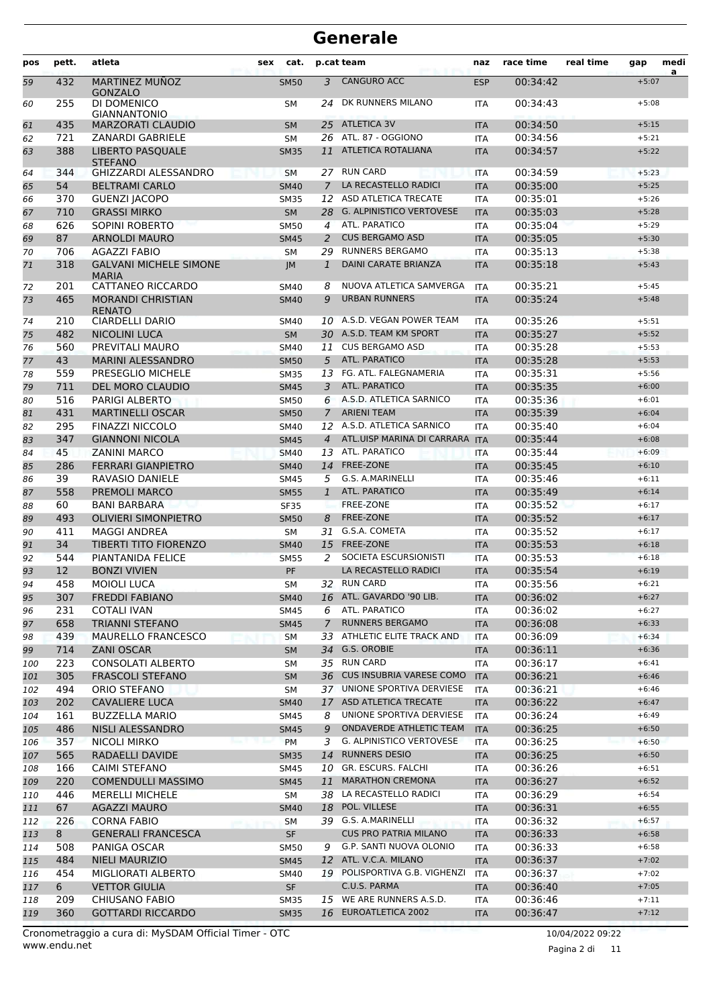| pos        | pett.      | atleta                                        | sex<br>cat.     |                     | p.cat team                                    | naz               | race time            | real time | gap                | medi |
|------------|------------|-----------------------------------------------|-----------------|---------------------|-----------------------------------------------|-------------------|----------------------|-----------|--------------------|------|
| 59         | 432        | MARTINEZ MUÑOZ<br><b>GONZALO</b>              | <b>SM50</b>     | 3                   | <b>CANGURO ACC</b>                            | <b>ESP</b>        | 00:34:42             |           | $+5:07$            | a    |
| 60         | 255        | DI DOMENICO<br><b>GIANNANTONIO</b>            | <b>SM</b>       | 24                  | DK RUNNERS MILANO                             | <b>ITA</b>        | 00:34:43             |           | $+5:08$            |      |
| 61         | 435        | <b>MARZORATI CLAUDIO</b>                      | <b>SM</b>       | 25                  | <b>ATLETICA 3V</b>                            | <b>ITA</b>        | 00:34:50             |           | $+5:15$            |      |
| 62         | 721        | <b>ZANARDI GABRIELE</b>                       | <b>SM</b>       |                     | 26 ATL. 87 - OGGIONO                          | <b>ITA</b>        | 00:34:56             |           | $+5:21$            |      |
| 63         | 388        | <b>LIBERTO PASQUALE</b><br><b>STEFANO</b>     | <b>SM35</b>     | 11                  | <b>ATLETICA ROTALIANA</b>                     | <b>ITA</b>        | 00:34:57             |           | $+5:22$            |      |
| 64         | 344        | <b>GHIZZARDI ALESSANDRO</b>                   | <b>SM</b>       |                     | 27 RUN CARD                                   | <b>ITA</b>        | 00:34:59             |           | $+5:23$            |      |
| 65         | 54         | <b>BELTRAMI CARLO</b>                         | <b>SM40</b>     | $\overline{7}$      | LA RECASTELLO RADICI                          | <b>ITA</b>        | 00:35:00             |           | $+5:25$            |      |
| 66         | 370        | <b>GUENZI JACOPO</b>                          | <b>SM35</b>     | 12                  | <b>ASD ATLETICA TRECATE</b>                   | <b>ITA</b>        | 00:35:01             |           | $+5:26$            |      |
| 67         | 710        | <b>GRASSI MIRKO</b>                           | <b>SM</b>       | 28                  | <b>G. ALPINISTICO VERTOVESE</b>               | <b>ITA</b>        | 00:35:03             |           | $+5:28$            |      |
| 68         | 626        | <b>SOPINI ROBERTO</b>                         | SM50            | 4                   | ATL. PARATICO                                 | <b>ITA</b>        | 00:35:04             |           | $+5:29$            |      |
| 69         | 87         | <b>ARNOLDI MAURO</b>                          | <b>SM45</b>     | 2                   | <b>CUS BERGAMO ASD</b>                        | <b>ITA</b>        | 00:35:05             |           | $+5:30$            |      |
| 70         | 706        | <b>AGAZZI FABIO</b>                           | <b>SM</b>       | 29                  | <b>RUNNERS BERGAMO</b>                        | <b>ITA</b>        | 00:35:13             |           | $+5:38$            |      |
| 71         | 318        | <b>GALVANI MICHELE SIMONE</b><br><b>MARIA</b> | IM              | $\mathbf{1}$        | <b>DAINI CARATE BRIANZA</b>                   | <b>ITA</b>        | 00:35:18             |           | $+5:43$            |      |
| 72         | 201        | CATTANEO RICCARDO                             | <b>SM40</b>     | 8                   | NUOVA ATLETICA SAMVERGA                       | <b>ITA</b>        | 00:35:21             |           | $+5:45$            |      |
| 73         | 465        | <b>MORANDI CHRISTIAN</b><br><b>RENATO</b>     | <b>SM40</b>     | 9                   | <b>URBAN RUNNERS</b>                          | <b>ITA</b>        | 00:35:24             |           | $+5:48$            |      |
| 74         | 210        | CIARDELLI DARIO                               | <b>SM40</b>     |                     | 10 A.S.D. VEGAN POWER TEAM                    | <b>ITA</b>        | 00:35:26             |           | $+5:51$            |      |
| 75         | 482        | <b>NICOLINI LUCA</b>                          | <b>SM</b>       |                     | 30 A.S.D. TEAM KM SPORT                       | <b>ITA</b>        | 00:35:27             |           | $+5:52$            |      |
| 76         | 560        | PREVITALI MAURO                               | SM40            | 11                  | <b>CUS BERGAMO ASD</b>                        | <b>ITA</b>        | 00:35:28             |           | $+5:53$            |      |
| 77         | 43         | <b>MARINI ALESSANDRO</b>                      | <b>SM50</b>     | 5                   | <b>ATL, PARATICO</b>                          | <b>ITA</b>        | 00:35:28             |           | $+5:53$            |      |
| 78         | 559        | PRESEGLIO MICHELE                             | <b>SM35</b>     |                     | 13 FG. ATL. FALEGNAMERIA                      | <b>ITA</b>        | 00:35:31             |           | $+5:56$            |      |
| 79         | 711        | <b>DEL MORO CLAUDIO</b>                       | <b>SM45</b>     | 3                   | ATL. PARATICO                                 | <b>ITA</b>        | 00:35:35             |           | $+6:00$            |      |
| 80         | 516        | <b>PARIGI ALBERTO</b>                         | <b>SM50</b>     | 6                   | A.S.D. ATLETICA SARNICO                       | <b>ITA</b>        | 00:35:36             |           | $+6:01$            |      |
| 81         | 431        | <b>MARTINELLI OSCAR</b>                       | <b>SM50</b>     | $\mathcal{I}$       | <b>ARIENI TEAM</b>                            | <b>ITA</b>        | 00:35:39             |           | $+6:04$            |      |
| 82         | 295        | <b>FINAZZI NICCOLO</b>                        | SM40            |                     | 12 A.S.D. ATLETICA SARNICO                    | <b>ITA</b>        | 00:35:40             |           | $+6:04$            |      |
| 83         | 347        | <b>GIANNONI NICOLA</b>                        | <b>SM45</b>     | $\overline{4}$      | ATL.UISP MARINA DI CARRARA ITA                |                   | 00:35:44             |           | $+6:08$            |      |
| 84         | 45         | <b>ZANINI MARCO</b>                           | <b>SM40</b>     |                     | 13 ATL. PARATICO                              | <b>ITA</b>        | 00:35:44             |           | $+6:09$            |      |
| 85         | 286        | <b>FERRARI GIANPIETRO</b>                     | <b>SM40</b>     |                     | 14 FREE-ZONE                                  | <b>ITA</b>        | 00:35:45             |           | $+6:10$            |      |
| 86         | 39         | <b>RAVASIO DANIELE</b>                        | SM45            | 5                   | G.S. A.MARINELLI                              | <b>ITA</b>        | 00:35:46             |           | $+6:11$            |      |
| 87         | 558        | PREMOLI MARCO                                 | <b>SM55</b>     | $\mathbf{1}$        | ATL. PARATICO                                 | <b>ITA</b>        | 00:35:49             |           | $+6:14$            |      |
| 88         | 60         | <b>BANI BARBARA</b>                           | <b>SF35</b>     |                     | FREE-ZONE                                     | <b>ITA</b>        | 00:35:52             |           | $+6:17$            |      |
| 89         | 493        | <b>OLIVIERI SIMONPIETRO</b>                   | <b>SM50</b>     | 8                   | <b>FREE-ZONE</b>                              | <b>ITA</b>        | 00:35:52             |           | $+6:17$            |      |
| 90         | 411        | <b>MAGGI ANDREA</b>                           | <b>SM</b>       |                     | 31 G.S.A. COMETA                              | <b>ITA</b>        | 00:35:52             |           | $+6:17$            |      |
| 91         | 34         | <b>TIBERTI TITO FIORENZO</b>                  | <b>SM40</b>     |                     | 15 FREE-ZONE                                  | <b>ITA</b>        | 00:35:53             |           | $+6:18$            |      |
| 92         | 544        | PIANTANIDA FELICE                             | <b>SM55</b>     | 2                   | SOCIETA ESCURSIONISTI<br>LA RECASTELLO RADICI | <b>ITA</b>        | 00:35:53             |           | $+6:18$            |      |
| 93         | 12         | <b>BONZI VIVIEN</b>                           | PF              |                     | 32 RUN CARD                                   | <b>ITA</b>        | 00:35:54             |           | $+6:19$            |      |
| 94         | 458        | <b>MOIOLI LUCA</b>                            | <b>SM</b>       |                     |                                               | <b>ITA</b>        | 00:35:56             |           | $+6:21$            |      |
| 95         | 307        | <b>FREDDI FABIANO</b>                         | <b>SM40</b>     |                     | 16 ATL. GAVARDO '90 LIB.<br>ATL. PARATICO     | <b>ITA</b>        | 00:36:02             |           | $+6:27$            |      |
| 96         | 231        | <b>COTALI IVAN</b><br><b>TRIANNI STEFANO</b>  | SM45            | 6<br>$\overline{7}$ | <b>RUNNERS BERGAMO</b>                        | ITA               | 00:36:02             |           | $+6:27$            |      |
| 97         | 658<br>439 | MAURELLO FRANCESCO                            | <b>SM45</b>     |                     | 33 ATHLETIC ELITE TRACK AND                   | <b>ITA</b>        | 00:36:08             |           | $+6:33$<br>$+6:34$ |      |
| 98         | 714        | <b>ZANI OSCAR</b>                             | SM              | 34                  | G.S. OROBIE                                   | ITA               | 00:36:09<br>00:36:11 |           | $+6:36$            |      |
| 99         | 223        | CONSOLATI ALBERTO                             | <b>SM</b><br>SM |                     | 35 RUN CARD                                   | <b>ITA</b><br>ITA | 00:36:17             |           | $+6:41$            |      |
| 100<br>101 | 305        | <b>FRASCOLI STEFANO</b>                       | <b>SM</b>       |                     | 36 CUS INSUBRIA VARESE COMO                   | <b>ITA</b>        | 00:36:21             |           | $+6:46$            |      |
| 102        | 494        | ORIO STEFANO                                  | SM              |                     | 37 UNIONE SPORTIVA DERVIESE                   | <b>ITA</b>        | 00:36:21             |           | $+6:46$            |      |
| 103        | 202        | <b>CAVALIERE LUCA</b>                         | <b>SM40</b>     | 17                  | ASD ATLETICA TRECATE                          | <b>ITA</b>        | 00:36:22             |           | $+6:47$            |      |
| 104        | 161        | <b>BUZZELLA MARIO</b>                         | SM45            | 8                   | UNIONE SPORTIVA DERVIESE                      | ITA               | 00:36:24             |           | $+6:49$            |      |
| 105        | 486        | NISLI ALESSANDRO                              | <b>SM45</b>     | 9                   | ONDAVERDE ATHLETIC TEAM                       | <b>ITA</b>        | 00:36:25             |           | $+6:50$            |      |
| 106        | 357        | NICOLI MIRKO                                  | <b>PM</b>       | 3                   | <b>G. ALPINISTICO VERTOVESE</b>               | ITA               | 00:36:25             |           | $+6:50$            |      |
| 107        | 565        | RADAELLI DAVIDE                               | <b>SM35</b>     | 14                  | <b>RUNNERS DESIO</b>                          | <b>ITA</b>        | 00:36:25             |           | $+6:50$            |      |
| 108        | 166        | <b>CAIMI STEFANO</b>                          | SM45            |                     | 10 GR. ESCURS. FALCHI                         | ITA               | 00:36:26             |           | $+6:51$            |      |
| 109        | 220        | <b>COMENDULLI MASSIMO</b>                     | <b>SM45</b>     | 11                  | <b>MARATHON CREMONA</b>                       | <b>ITA</b>        | 00:36:27             |           | $+6:52$            |      |
| 110        | 446        | <b>MERELLI MICHELE</b>                        | SM              |                     | 38 LA RECASTELLO RADICI                       | ITA               | 00:36:29             |           | $+6:54$            |      |
| 111        | 67         | <b>AGAZZI MAURO</b>                           | <b>SM40</b>     | 18                  | POL. VILLESE                                  | <b>ITA</b>        | 00:36:31             |           | $+6:55$            |      |
| 112        | 226        | <b>CORNA FABIO</b>                            | SM              |                     | 39 G.S. A.MARINELLI                           | ITA               | 00:36:32             |           | $+6:57$            |      |
| 113        | 8          | <b>GENERALI FRANCESCA</b>                     | <b>SF</b>       |                     | <b>CUS PRO PATRIA MILANO</b>                  | <b>ITA</b>        | 00:36:33             |           | $+6:58$            |      |
| 114        | 508        | PANIGA OSCAR                                  | SM50            | 9                   | G.P. SANTI NUOVA OLONIO                       | <b>ITA</b>        | 00:36:33             |           | $+6:58$            |      |
| 115        | 484        | <b>NIELI MAURIZIO</b>                         | <b>SM45</b>     |                     | 12 ATL. V.C.A. MILANO                         | <b>ITA</b>        | 00:36:37             |           | $+7:02$            |      |
| 116        | 454        | MIGLIORATI ALBERTO                            | SM40            |                     | 19 POLISPORTIVA G.B. VIGHENZI                 | <b>ITA</b>        | 00:36:37             |           | $+7:02$            |      |
| 117        | 6          | <b>VETTOR GIULIA</b>                          | SF              |                     | C.U.S. PARMA                                  | <b>ITA</b>        | 00:36:40             |           | $+7:05$            |      |
| 118        | 209        | <b>CHIUSANO FABIO</b>                         | SM35            |                     | 15 WE ARE RUNNERS A.S.D.                      | ITA               | 00:36:46             |           | $+7:11$            |      |
| 119        | 360        | <b>GOTTARDI RICCARDO</b>                      | <b>SM35</b>     |                     | 16 EUROATLETICA 2002                          | <b>ITA</b>        | 00:36:47             |           | $+7:12$            |      |
|            |            |                                               |                 |                     |                                               |                   |                      |           |                    |      |

Pagina 2 di 11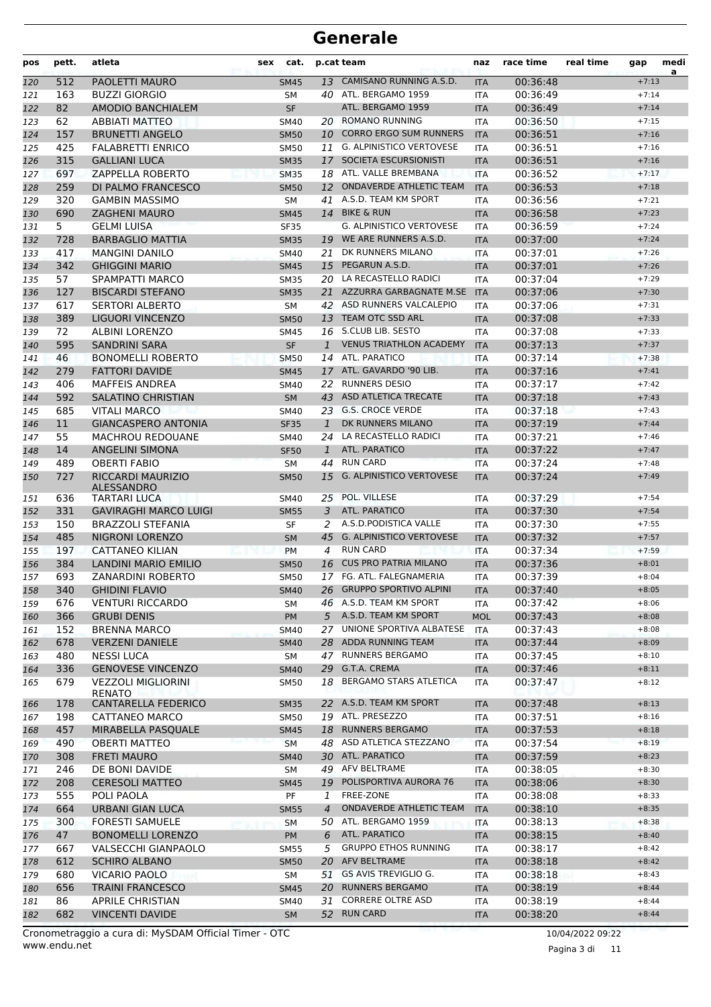| pos | pett.      | atleta                                          | cat.<br>sex                |                | p.cat team                                            | naz               | race time            | real time | gap                | medi<br>a |
|-----|------------|-------------------------------------------------|----------------------------|----------------|-------------------------------------------------------|-------------------|----------------------|-----------|--------------------|-----------|
| 120 | 512        | PAOLETTI MAURO                                  | <b>SM45</b>                | 13             | CAMISANO RUNNING A.S.D.                               | <b>ITA</b>        | 00:36:48             |           | $+7:13$            |           |
| 121 | 163        | <b>BUZZI GIORGIO</b>                            | <b>SM</b>                  |                | 40 ATL. BERGAMO 1959                                  | <b>ITA</b>        | 00:36:49             |           | $+7:14$            |           |
| 122 | 82         | <b>AMODIO BANCHIALEM</b>                        | <b>SF</b>                  |                | ATL. BERGAMO 1959                                     | <b>ITA</b>        | 00:36:49             |           | $+7:14$            |           |
| 123 | 62         | <b>ABBIATI MATTEO</b>                           | <b>SM40</b>                |                | 20 ROMANO RUNNING                                     | <b>ITA</b>        | 00:36:50             |           | $+7:15$            |           |
| 124 | 157        | <b>BRUNETTI ANGELO</b>                          | <b>SM50</b>                | 10             | <b>CORRO ERGO SUM RUNNERS</b>                         | <b>ITA</b>        | 00:36:51             |           | $+7:16$            |           |
| 125 | 425        | <b>FALABRETTI ENRICO</b>                        | <b>SM50</b>                |                | 11 G. ALPINISTICO VERTOVESE                           | <b>ITA</b>        | 00:36:51             |           | $+7:16$            |           |
| 126 | 315        | <b>GALLIANI LUCA</b>                            | <b>SM35</b>                | 17             | SOCIETA ESCURSIONISTI                                 | <b>ITA</b>        | 00:36:51             |           | $+7:16$            |           |
| 127 | 697        | <b>ZAPPELLA ROBERTO</b>                         | <b>SM35</b>                |                | 18 ATL. VALLE BREMBANA                                | <b>ITA</b>        | 00:36:52             |           | $+7:17$            |           |
| 128 | 259        | DI PALMO FRANCESCO                              | <b>SM50</b>                |                | 12 ONDAVERDE ATHLETIC TEAM                            | <b>ITA</b>        | 00:36:53             |           | $+7:18$            |           |
| 129 | 320        | <b>GAMBIN MASSIMO</b>                           | SM                         | 41             | A.S.D. TEAM KM SPORT                                  | <b>ITA</b>        | 00:36:56             |           | $+7:21$            |           |
| 130 | 690        | <b>ZAGHENI MAURO</b>                            | <b>SM45</b>                |                | 14 BIKE & RUN                                         | <b>ITA</b>        | 00:36:58             |           | $+7:23$            |           |
| 131 | 5.         | <b>GELMI LUISA</b>                              | <b>SF35</b>                |                | <b>G. ALPINISTICO VERTOVESE</b>                       | <b>ITA</b>        | 00:36:59             |           | $+7:24$            |           |
| 132 | 728        | <b>BARBAGLIO MATTIA</b>                         | <b>SM35</b>                | 19             | WE ARE RUNNERS A.S.D.                                 | <b>ITA</b>        | 00:37:00             |           | $+7:24$            |           |
| 133 | 417        | <b>MANGINI DANILO</b>                           | SM40                       | 21             | DK RUNNERS MILANO                                     | <b>ITA</b>        | 00:37:01             |           | $+7:26$            |           |
| 134 | 342        | <b>GHIGGINI MARIO</b>                           | <b>SM45</b>                | 15             | PEGARUN A.S.D.                                        | <b>ITA</b>        | 00:37:01             |           | $+7:26$            |           |
| 135 | 57         | SPAMPATTI MARCO                                 | <b>SM35</b>                | 20             | LA RECASTELLO RADICI                                  | <b>ITA</b>        | 00:37:04             |           | $+7:29$            |           |
| 136 | 127        | <b>BISCARDI STEFANO</b>                         | <b>SM35</b>                | 21             | AZZURRA GARBAGNATE M.SE                               | <b>ITA</b>        | 00:37:06             |           | $+7:30$            |           |
| 137 | 617        | <b>SERTORI ALBERTO</b>                          | <b>SM</b>                  |                | 42 ASD RUNNERS VALCALEPIO                             | <b>ITA</b>        | 00:37:06             |           | $+7:31$            |           |
| 138 | 389        | <b>LIGUORI VINCENZO</b>                         | <b>SM50</b>                | 13             | TEAM OTC SSD ARL                                      | <b>ITA</b>        | 00:37:08             |           | $+7:33$            |           |
| 139 | 72         | <b>ALBINI LORENZO</b>                           | <b>SM45</b>                |                | 16 S.CLUB LIB. SESTO                                  | <b>ITA</b>        | 00:37:08             |           | $+7:33$            |           |
| 140 | 595        | <b>SANDRINI SARA</b>                            | SF                         | $\mathbf{1}$   | <b>VENUS TRIATHLON ACADEMY</b>                        | <b>ITA</b>        | 00:37:13             |           | $+7:37$            |           |
| 141 | 46         | <b>BONOMELLI ROBERTO</b>                        | <b>SM50</b>                | 14             | ATL. PARATICO                                         | <b>ITA</b>        | 00:37:14             |           | $+7:38$            |           |
| 142 | 279        | <b>FATTORI DAVIDE</b>                           | <b>SM45</b>                | 17             | ATL. GAVARDO '90 LIB.                                 | <b>ITA</b>        | 00:37:16             |           | $+7:41$            |           |
| 143 | 406        | <b>MAFFEIS ANDREA</b>                           | <b>SM40</b>                | 22             | <b>RUNNERS DESIO</b>                                  | <b>ITA</b>        | 00:37:17             |           | $+7:42$            |           |
| 144 | 592        | <b>SALATINO CHRISTIAN</b>                       | <b>SM</b>                  | 43             | ASD ATLETICA TRECATE                                  | <b>ITA</b>        | 00:37:18             |           | $+7:43$            |           |
| 145 | 685        | <b>VITALI MARCO</b>                             | <b>SM40</b>                |                | 23 G.S. CROCE VERDE                                   | <b>ITA</b>        | 00:37:18             |           | $+7:43$            |           |
| 146 | 11         | <b>GIANCASPERO ANTONIA</b>                      | <b>SF35</b>                | $\mathbf{1}$   | DK RUNNERS MILANO                                     | <b>ITA</b>        | 00:37:19             |           | $+7:44$            |           |
| 147 | 55         | <b>MACHROU REDOUANE</b>                         | <b>SM40</b>                | 24             | LA RECASTELLO RADICI                                  | <b>ITA</b>        | 00:37:21             |           | $+7:46$            |           |
| 148 | 14         | <b>ANGELINI SIMONA</b>                          | <b>SF50</b>                | $\mathbf{1}$   | ATL. PARATICO                                         | <b>ITA</b>        | 00:37:22             |           | $+7:47$            |           |
| 149 | 489        | <b>OBERTI FABIO</b>                             | <b>SM</b>                  | 44             | <b>RUN CARD</b>                                       | <b>ITA</b>        | 00:37:24             |           | $+7:48$            |           |
| 150 | 727        | RICCARDI MAURIZIO<br>ALESSANDRO                 | <b>SM50</b>                | 15             | <b>G. ALPINISTICO VERTOVESE</b>                       | <b>ITA</b>        | 00:37:24             |           | $+7:49$            |           |
| 151 | 636        | TARTARI LUCA                                    | SM40                       |                | 25 POL. VILLESE                                       | <b>ITA</b>        | 00:37:29             |           | $+7:54$            |           |
| 152 | 331        | <b>GAVIRAGHI MARCO LUIGI</b>                    | <b>SM55</b>                | 3              | ATL. PARATICO                                         | <b>ITA</b>        | 00:37:30             |           | $+7:54$            |           |
| 153 | 150        | <b>BRAZZOLI STEFANIA</b>                        | SF                         | 2              | A.S.D. PODISTICA VALLE                                | <b>ITA</b>        | 00:37:30             |           | $+7:55$            |           |
| 154 | 485        | <b>NIGRONI LORENZO</b>                          | <b>SM</b>                  | 45             | G. ALPINISTICO VERTOVESE                              | <b>ITA</b>        | 00:37:32             |           | $+7:57$            |           |
| 155 | 197        | <b>CATTANEO KILIAN</b>                          | PM                         | 4              | <b>RUN CARD</b>                                       | <b>ITA</b>        | 00:37:34             |           | $+7:59$            |           |
| 156 | 384        | <b>LANDINI MARIO EMILIO</b>                     | <b>SM50</b>                | 16             | <b>CUS PRO PATRIA MILANO</b>                          | <b>ITA</b>        | 00:37:36             |           | $+8:01$            |           |
| 157 | 693        | ZANARDINI ROBERTO                               | <b>SM50</b>                |                | 17 FG. ATL. FALEGNAMERIA<br>26 GRUPPO SPORTIVO ALPINI | <b>ITA</b>        | 00:37:39             |           | $+8:04$            |           |
| 158 | 340        | <b>GHIDINI FLAVIO</b>                           | <b>SM40</b>                |                |                                                       | <b>ITA</b>        | 00:37:40             |           | $+8:05$            |           |
| 159 | 676        | <b>VENTURI RICCARDO</b>                         | SΜ                         |                | 46 A.S.D. TEAM KM SPORT                               | ITA               | 00:37:42             |           | $+8:06$            |           |
| 160 | 366        | <b>GRUBI DENIS</b>                              | <b>PM</b>                  |                | 5 A.S.D. TEAM KM SPORT<br>UNIONE SPORTIVA ALBATESE    | <b>MOL</b>        | 00:37:43             |           | $+8:08$            |           |
| 161 | 152        | <b>BRENNA MARCO</b>                             | <b>SM40</b>                | 27             | 28 ADDA RUNNING TEAM                                  | ITA               | 00:37:43             |           | $+8:08$            |           |
| 162 | 678        | <b>VERZENI DANIELE</b>                          | <b>SM40</b>                |                | 47 RUNNERS BERGAMO                                    | <b>ITA</b>        | 00:37:44             |           | $+8:09$<br>$+8:10$ |           |
| 163 | 480<br>336 | <b>NESSI LUCA</b><br><b>GENOVESE VINCENZO</b>   | SM                         |                | 29 G.T.A. CREMA                                       | ITA<br><b>ITA</b> | 00:37:45<br>00:37:46 |           | $+8:11$            |           |
| 164 | 679        | <b>VEZZOLI MIGLIORINI</b>                       | <b>SM40</b><br><b>SM50</b> | 18             | <b>BERGAMO STARS ATLETICA</b>                         |                   | 00:37:47             |           | $+8:12$            |           |
| 165 |            | RENATO                                          |                            |                | 22 A.S.D. TEAM KM SPORT                               | ITA               |                      |           |                    |           |
| 166 | 178        | <b>CANTARELLA FEDERICO</b>                      | <b>SM35</b>                |                |                                                       | <b>ITA</b>        | 00:37:48             |           | $+8:13$            |           |
| 167 | 198        | CATTANEO MARCO                                  | <b>SM50</b>                |                | 19 ATL. PRESEZZO                                      | ITA               | 00:37:51             |           | $+8:16$            |           |
| 168 | 457        | MIRABELLA PASQUALE                              | <b>SM45</b>                |                | 18 RUNNERS BERGAMO                                    | <b>ITA</b>        | 00:37:53             |           | $+8:18$            |           |
| 169 | 490        | <b>OBERTI MATTEO</b>                            | <b>SM</b>                  |                | 48 ASD ATLETICA STEZZANO                              | ITA               | 00:37:54             |           | $+8:19$            |           |
| 170 | 308        | <b>FRETI MAURO</b>                              | <b>SM40</b>                |                | 30 ATL. PARATICO                                      | <b>ITA</b>        | 00:37:59             |           | $+8:23$            |           |
| 171 | 246        | DE BONI DAVIDE                                  | SM                         |                | 49 AFV BELTRAME                                       | ITA               | 00:38:05             |           | $+8:30$            |           |
| 172 | 208        | <b>CERESOLI MATTEO</b>                          | <b>SM45</b>                |                | 19 POLISPORTIVA AURORA 76                             | <b>ITA</b>        | 00:38:06             |           | $+8:30$            |           |
| 173 | 555        | POLI PAOLA                                      | PF                         | $\mathbf{1}$   | FREE-ZONE                                             | ITA               | 00:38:08             |           | $+8:33$            |           |
| 174 | 664        | <b>URBANI GIAN LUCA</b>                         | <b>SM55</b>                | $\overline{4}$ | ONDAVERDE ATHLETIC TEAM                               | <b>ITA</b>        | 00:38:10             |           | $+8:35$            |           |
| 175 | 300        | <b>FORESTI SAMUELE</b>                          | SM                         |                | 50 ATL. BERGAMO 1959                                  | ITA               | 00:38:13             |           | $+8:38$            |           |
| 176 | 47         | <b>BONOMELLI LORENZO</b>                        | PM                         | 6              | ATL. PARATICO<br><b>GRUPPO ETHOS RUNNING</b>          | <b>ITA</b>        | 00:38:15             |           | $+8:40$            |           |
| 177 | 667        | VALSECCHI GIANPAOLO                             | <b>SM55</b>                | 5              | 20 AFV BELTRAME                                       | ITA               | 00:38:17             |           | $+8:42$            |           |
| 178 | 612        | <b>SCHIRO ALBANO</b>                            | <b>SM50</b>                |                |                                                       | <b>ITA</b>        | 00:38:18             |           | $+8:42$            |           |
| 179 | 680<br>656 | <b>VICARIO PAOLO</b><br><b>TRAINI FRANCESCO</b> | SM                         |                | 51 GS AVIS TREVIGLIO G.<br>20 RUNNERS BERGAMO         | ITA               | 00:38:18<br>00:38:19 |           | $+8:43$<br>$+8:44$ |           |
| 180 | 86         | <b>APRILE CHRISTIAN</b>                         | <b>SM45</b>                | 31             | <b>CORRERE OLTRE ASD</b>                              | <b>ITA</b>        | 00:38:19             |           | $+8:44$            |           |
| 181 | 682        | <b>VINCENTI DAVIDE</b>                          | SM40                       |                | 52 RUN CARD                                           | ITA               | 00:38:20             |           | $+8:44$            |           |
| 182 |            |                                                 | <b>SM</b>                  |                |                                                       | <b>ITA</b>        |                      |           |                    |           |

Pagina 3 di 11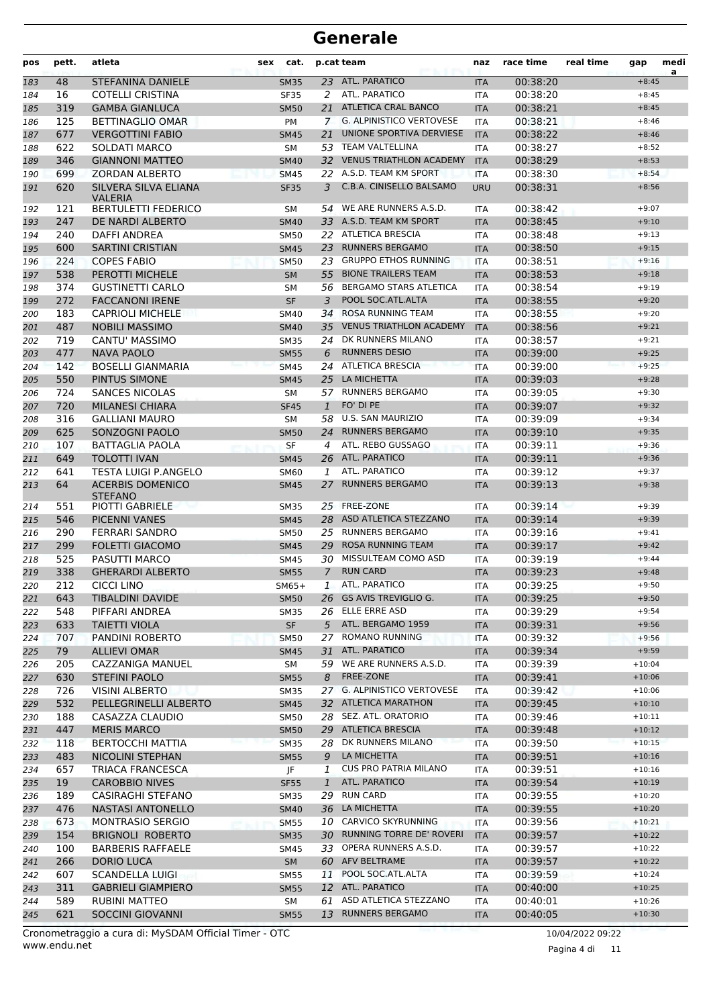| pos        | pett.      | atleta                                    | sex | cat.                       |               | p.cat team                                            | naz                      | race time            | real time | gap                | medi<br>a |
|------------|------------|-------------------------------------------|-----|----------------------------|---------------|-------------------------------------------------------|--------------------------|----------------------|-----------|--------------------|-----------|
| 183        | 48         | <b>STEFANINA DANIELE</b>                  |     | <b>SM35</b>                |               | 23 ATL. PARATICO                                      | <b>ITA</b>               | 00:38:20             |           | $+8:45$            |           |
| 184        | 16         | <b>COTELLI CRISTINA</b>                   |     | <b>SF35</b>                | 2             | ATL. PARATICO                                         | <b>ITA</b>               | 00:38:20             |           | $+8:45$            |           |
| 185        | 319        | <b>GAMBA GIANLUCA</b>                     |     | <b>SM50</b>                | 21            | <b>ATLETICA CRAL BANCO</b>                            | <b>ITA</b>               | 00:38:21             |           | $+8:45$            |           |
| 186        | 125        | <b>BETTINAGLIO OMAR</b>                   |     | PM                         | $\mathcal{I}$ | <b>G. ALPINISTICO VERTOVESE</b>                       | <b>ITA</b>               | 00:38:21             |           | $+8:46$            |           |
| 187        | 677        | <b>VERGOTTINI FABIO</b>                   |     | <b>SM45</b>                | 21            | UNIONE SPORTIVA DERVIESE                              | <b>ITA</b>               | 00:38:22             |           | $+8:46$            |           |
| 188        | 622        | SOLDATI MARCO                             |     | <b>SM</b>                  |               | 53 TEAM VALTELLINA                                    | <b>ITA</b>               | 00:38:27             |           | $+8:52$            |           |
| 189        | 346        | <b>GIANNONI MATTEO</b>                    |     | <b>SM40</b>                | 32            | <b>VENUS TRIATHLON ACADEMY</b>                        | <b>ITA</b>               | 00:38:29             |           | $+8:53$            |           |
| 190        | 699        | ZORDAN ALBERTO                            |     | <b>SM45</b>                |               | 22 A.S.D. TEAM KM SPORT                               | <b>ITA</b>               | 00:38:30             |           | $+8:54$            |           |
| 191        | 620        | SILVERA SILVA ELIANA<br><b>VALERIA</b>    |     | <b>SF35</b>                | 3             | C.B.A. CINISELLO BALSAMO                              | <b>URU</b>               | 00:38:31             |           | $+8:56$            |           |
| 192        | 121        | <b>BERTULETTI FEDERICO</b>                |     | <b>SM</b>                  | 54            | WE ARE RUNNERS A.S.D.                                 | <b>ITA</b>               | 00:38:42             |           | $+9:07$            |           |
| 193        | 247        | DE NARDI ALBERTO                          |     | <b>SM40</b>                |               | 33 A.S.D. TEAM KM SPORT                               | <b>ITA</b>               | 00:38:45             |           | $+9:10$            |           |
| 194        | 240        | DAFFI ANDREA                              |     | SM50                       |               | 22 ATLETICA BRESCIA                                   | <b>ITA</b>               | 00:38:48             |           | $+9:13$            |           |
| 195        | 600        | <b>SARTINI CRISTIAN</b>                   |     | <b>SM45</b>                | 23            | <b>RUNNERS BERGAMO</b><br><b>GRUPPO ETHOS RUNNING</b> | <b>ITA</b>               | 00:38:50             |           | $+9:15$<br>$+9:16$ |           |
| 196<br>197 | 224<br>538 | <b>COPES FABIO</b><br>PEROTTI MICHELE     |     | <b>SM50</b><br><b>SM</b>   | 23            | 55 BIONE TRAILERS TEAM                                | <b>ITA</b><br><b>ITA</b> | 00:38:51<br>00:38:53 |           | $+9:18$            |           |
| 198        | 374        | <b>GUSTINETTI CARLO</b>                   |     | <b>SM</b>                  |               | 56 BERGAMO STARS ATLETICA                             | <b>ITA</b>               | 00:38:54             |           | $+9:19$            |           |
| 199        | 272        | <b>FACCANONI IRENE</b>                    |     | <b>SF</b>                  | 3             | POOL SOC.ATL.ALTA                                     | <b>ITA</b>               | 00:38:55             |           | $+9:20$            |           |
| 200        | 183        | <b>CAPRIOLI MICHELE</b>                   |     | SM40                       | 34            | <b>ROSA RUNNING TEAM</b>                              | <b>ITA</b>               | 00:38:55             |           | $+9:20$            |           |
| 201        | 487        | <b>NOBILI MASSIMO</b>                     |     | <b>SM40</b>                | 35            | <b>VENUS TRIATHLON ACADEMY</b>                        | <b>ITA</b>               | 00:38:56             |           | $+9:21$            |           |
| 202        | 719        | <b>CANTU' MASSIMO</b>                     |     | <b>SM35</b>                | 24            | DK RUNNERS MILANO                                     | ITA                      | 00:38:57             |           | $+9:21$            |           |
| 203        | 477        | <b>NAVA PAOLO</b>                         |     | <b>SM55</b>                | 6             | <b>RUNNERS DESIO</b>                                  | <b>ITA</b>               | 00:39:00             |           | $+9:25$            |           |
| 204        | 142        | <b>BOSELLI GIANMARIA</b>                  |     | <b>SM45</b>                | 24            | <b>ATLETICA BRESCIA</b>                               | <b>ITA</b>               | 00:39:00             |           | $+9:25$            |           |
| 205        | 550        | PINTUS SIMONE                             |     | <b>SM45</b>                | 25            | LA MICHETTA                                           | <b>ITA</b>               | 00:39:03             |           | $+9:28$            |           |
| 206        | 724        | <b>SANCES NICOLAS</b>                     |     | SM                         |               | 57 RUNNERS BERGAMO                                    | <b>ITA</b>               | 00:39:05             |           | $+9:30$            |           |
| 207        | 720        | <b>MILANESI CHIARA</b>                    |     | <b>SF45</b>                | 1             | FO' DI PE                                             | <b>ITA</b>               | 00:39:07             |           | $+9:32$            |           |
| 208        | 316        | <b>GALLIANI MAURO</b>                     |     | SM                         | 58            | <b>U.S. SAN MAURIZIO</b>                              | <b>ITA</b>               | 00:39:09             |           | $+9:34$            |           |
| 209        | 625        | SONZOGNI PAOLO                            |     | <b>SM50</b>                |               | 24 RUNNERS BERGAMO                                    | <b>ITA</b>               | 00:39:10             |           | $+9:35$            |           |
| 210        | 107        | <b>BATTAGLIA PAOLA</b>                    |     | SF                         | 4             | ATL. REBO GUSSAGO                                     | <b>ITA</b>               | 00:39:11             |           | $+9:36$            |           |
| 211        | 649        | <b>TOLOTTI IVAN</b>                       |     | <b>SM45</b>                | 26            | <b>ATL. PARATICO</b>                                  | <b>ITA</b>               | 00:39:11             |           | $+9:36$            |           |
| 212        | 641        | <b>TESTA LUIGI P.ANGELO</b>               |     | SM60                       | 1             | ATL. PARATICO                                         | <b>ITA</b>               | 00:39:12             |           | $+9:37$            |           |
| 213        | 64         | <b>ACERBIS DOMENICO</b><br><b>STEFANO</b> |     | <b>SM45</b>                | 27            | <b>RUNNERS BERGAMO</b>                                | <b>ITA</b>               | 00:39:13             |           | $+9:38$            |           |
| 214        | 551        | PIOTTI GABRIELE                           |     | <b>SM35</b>                |               | 25 FREE-ZONE                                          | <b>ITA</b>               | 00:39:14             |           | $+9:39$            |           |
| 215        | 546        | <b>PICENNI VANES</b>                      |     | <b>SM45</b>                |               | 28 ASD ATLETICA STEZZANO                              | <b>ITA</b>               | 00:39:14             |           | $+9:39$            |           |
| 216        | 290        | <b>FERRARI SANDRO</b>                     |     | <b>SM50</b>                |               | 25 RUNNERS BERGAMO                                    | ITA                      | 00:39:16             |           | $+9:41$            |           |
| 217        | 299        | <b>FOLETTI GIACOMO</b>                    |     | <b>SM45</b>                | 29            | ROSA RUNNING TEAM                                     | <b>ITA</b>               | 00:39:17             |           | $+9:42$            |           |
| 218        | 525        | PASUTTI MARCO                             |     | <b>SM45</b>                | 30            | MISSULTEAM COMO ASD                                   | <b>ITA</b>               | 00:39:19             |           | $+9:44$            |           |
| 219        | 338        | <b>GHERARDI ALBERTO</b>                   |     | <b>SM55</b>                | $\mathcal{I}$ | <b>RUN CARD</b>                                       | <b>ITA</b>               | 00:39:23             |           | $+9:48$            |           |
| 220        | 212        | <b>CICCI LINO</b>                         |     | $SM65+$                    | 1             | ATL. PARATICO                                         | <b>ITA</b>               | 00:39:25             |           | $+9:50$            |           |
| 221        | 643        | <b>TIBALDINI DAVIDE</b>                   |     | <b>SM50</b>                |               | 26 GS AVIS TREVIGLIO G.<br>26 ELLE ERRE ASD           | <b>ITA</b>               | 00:39:25             |           | $+9:50$            |           |
| 222        | 548        | PIFFARI ANDREA                            |     | <b>SM35</b>                |               |                                                       | ITA                      | 00:39:29             |           | $+9:54$            |           |
| 223        | 633        | <b>TAIETTI VIOLA</b>                      |     | <b>SF</b>                  |               | 5 ATL. BERGAMO 1959<br><b>ROMANO RUNNING</b>          | <b>ITA</b>               | 00:39:31<br>00:39:32 |           | $+9:56$            |           |
| 224<br>225 | 707<br>79  | PANDINI ROBERTO<br><b>ALLIEVI OMAR</b>    |     | <b>SM50</b><br><b>SM45</b> | 27<br>31      | ATL. PARATICO                                         | <b>ITA</b><br><b>ITA</b> | 00:39:34             |           | $+9:56$<br>$+9:59$ |           |
| 226        | 205        | CAZZANIGA MANUEL                          |     | SM                         |               | 59 WE ARE RUNNERS A.S.D.                              | ITA                      | 00:39:39             |           | $+10:04$           |           |
| 227        | 630        | <b>STEFINI PAOLO</b>                      |     | <b>SM55</b>                | 8             | FREE-ZONE                                             | <b>ITA</b>               | 00:39:41             |           | $+10:06$           |           |
| 228        | 726        | <b>VISINI ALBERTO</b>                     |     | <b>SM35</b>                |               | 27 G. ALPINISTICO VERTOVESE                           | ITA                      | 00:39:42             |           | $+10:06$           |           |
| 229        | 532        | PELLEGRINELLI ALBERTO                     |     | <b>SM45</b>                |               | 32 ATLETICA MARATHON                                  | <b>ITA</b>               | 00:39:45             |           | $+10:10$           |           |
| 230        | 188        | CASAZZA CLAUDIO                           |     | <b>SM50</b>                |               | 28 SEZ. ATL. ORATORIO                                 | <b>ITA</b>               | 00:39:46             |           | $+10:11$           |           |
| 231        | 447        | <b>MERIS MARCO</b>                        |     | <b>SM50</b>                |               | 29 ATLETICA BRESCIA                                   | <b>ITA</b>               | 00:39:48             |           | $+10:12$           |           |
| 232        | 118        | <b>BERTOCCHI MATTIA</b>                   |     | <b>SM35</b>                | 28            | DK RUNNERS MILANO                                     | <b>ITA</b>               | 00:39:50             |           | $+10:15$           |           |
| 233        | 483        | NICOLINI STEPHAN                          |     | <b>SM55</b>                | 9             | LA MICHETTA                                           | <b>ITA</b>               | 00:39:51             |           | $+10:16$           |           |
| 234        | 657        | TRIACA FRANCESCA                          |     | JF                         | 1             | <b>CUS PRO PATRIA MILANO</b>                          | ITA                      | 00:39:51             |           | $+10:16$           |           |
| 235        | 19         | <b>CAROBBIO NIVES</b>                     |     | <b>SF55</b>                | $\mathbf{1}$  | ATL. PARATICO                                         | <b>ITA</b>               | 00:39:54             |           | $+10:19$           |           |
| 236        | 189        | CASIRAGHI STEFANO                         |     | <b>SM35</b>                |               | 29 RUN CARD                                           | <b>ITA</b>               | 00:39:55             |           | $+10:20$           |           |
| 237        | 476        | NASTASI ANTONELLO                         |     | <b>SM40</b>                |               | 36 LA MICHETTA                                        | <b>ITA</b>               | 00:39:55             |           | $+10:20$           |           |
| 238        | 673        | <b>MONTRASIO SERGIO</b>                   |     | <b>SM55</b>                | 10            | CARVICO SKYRUNNING                                    | ITA                      | 00:39:56             |           | $+10:21$           |           |
| 239        | 154        | <b>BRIGNOLI ROBERTO</b>                   |     | <b>SM35</b>                |               | 30 RUNNING TORRE DE' ROVERI                           | <b>ITA</b>               | 00:39:57             |           | $+10:22$           |           |
| 240        | 100        | <b>BARBERIS RAFFAELE</b>                  |     | SM45                       |               | 33 OPERA RUNNERS A.S.D.                               | ITA                      | 00:39:57             |           | $+10:22$           |           |
| 241        | 266        | DORIO LUCA                                |     | <b>SM</b>                  |               | 60 AFV BELTRAME                                       | <b>ITA</b>               | 00:39:57             |           | $+10:22$           |           |
| 242        | 607        | <b>SCANDELLA LUIGI</b>                    |     | <b>SM55</b>                | 11            | POOL SOC.ATL.ALTA                                     | <b>ITA</b>               | 00:39:59             |           | $+10:24$           |           |
| 243        | 311        | <b>GABRIELI GIAMPIERO</b>                 |     | <b>SM55</b>                |               | 12 ATL. PARATICO                                      | <b>ITA</b>               | 00:40:00             |           | $+10:25$           |           |
| 244        | 589        | RUBINI MATTEO                             |     | SM                         | 61            | ASD ATLETICA STEZZANO                                 | ITA                      | 00:40:01             |           | $+10:26$           |           |
| 245        | 621        | <b>SOCCINI GIOVANNI</b>                   |     | <b>SM55</b>                |               | 13 RUNNERS BERGAMO                                    | <b>ITA</b>               | 00:40:05             |           | $+10:30$           |           |

Pagina 4 di 11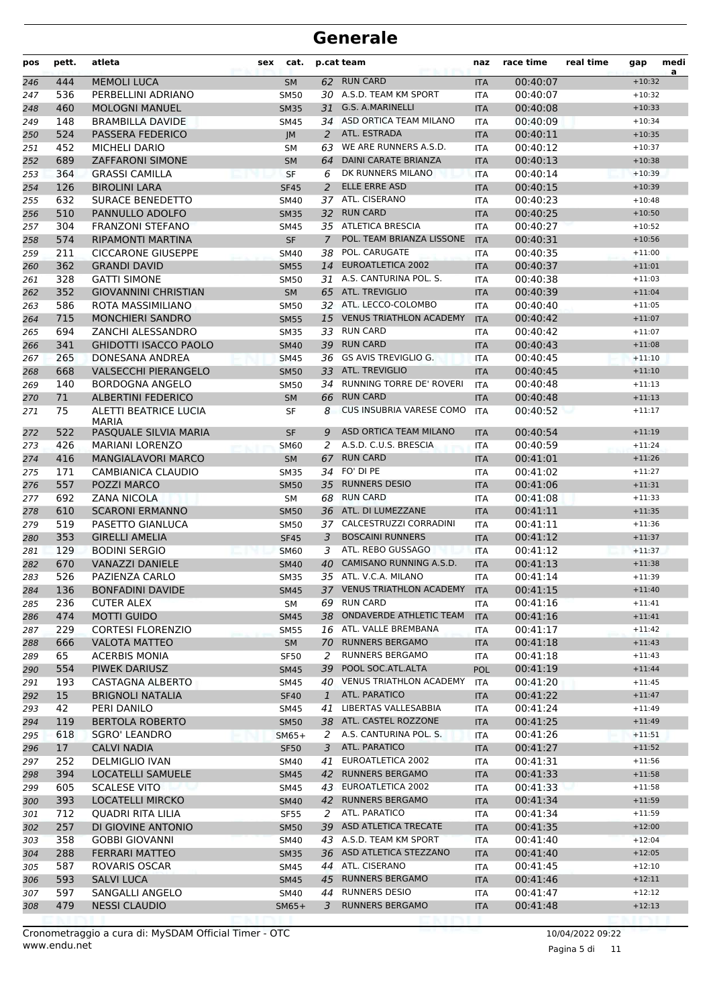| pos        | pett.           | atleta                                           | sex | cat.                       |                | p.cat team                                         | naz                      | race time            | real time | gap                  | medi<br>a |
|------------|-----------------|--------------------------------------------------|-----|----------------------------|----------------|----------------------------------------------------|--------------------------|----------------------|-----------|----------------------|-----------|
| 246        | 444             | <b>MEMOLI LUCA</b>                               |     | <b>SM</b>                  |                | 62 RUN CARD                                        | <b>ITA</b>               | 00:40:07             |           | $+10:32$             |           |
| 247        | 536             | PERBELLINI ADRIANO                               |     | <b>SM50</b>                |                | 30 A.S.D. TEAM KM SPORT                            | <b>ITA</b>               | 00:40:07             |           | $+10:32$             |           |
| 248        | 460             | <b>MOLOGNI MANUEL</b>                            |     | <b>SM35</b>                | 31             | G.S. A.MARINELLI                                   | <b>ITA</b>               | 00:40:08             |           | $+10:33$             |           |
| 249        | 148             | <b>BRAMBILLA DAVIDE</b>                          |     | <b>SM45</b>                |                | 34 ASD ORTICA TEAM MILANO                          | <b>ITA</b>               | 00:40:09             |           | $+10:34$             |           |
| 250        | 524             | <b>PASSERA FEDERICO</b>                          |     | JM                         | 2              | ATL. ESTRADA                                       | <b>ITA</b>               | 00:40:11             |           | $+10:35$             |           |
| 251        | 452             | <b>MICHELI DARIO</b>                             |     | <b>SM</b>                  |                | 63 WE ARE RUNNERS A.S.D.                           | ITA                      | 00:40:12             |           | $+10:37$             |           |
| 252        | 689             | <b>ZAFFARONI SIMONE</b>                          |     | <b>SM</b>                  | 64             | <b>DAINI CARATE BRIANZA</b>                        | <b>ITA</b>               | 00:40:13             |           | $+10:38$             |           |
| 253        | 364             | <b>GRASSI CAMILLA</b>                            |     | <b>SF</b>                  | 6              | DK RUNNERS MILANO                                  | <b>ITA</b>               | 00:40:14             |           | $+10:39$             |           |
| 254        | 126             | <b>BIROLINI LARA</b>                             |     | <b>SF45</b>                | 2              | <b>ELLE ERRE ASD</b>                               | <b>ITA</b>               | 00:40:15             |           | $+10:39$             |           |
| 255        | 632             | <b>SURACE BENEDETTO</b>                          |     | <b>SM40</b>                | 37             | ATL. CISERANO                                      | <b>ITA</b>               | 00:40:23             |           | $+10:48$             |           |
| 256        | 510             | PANNULLO ADOLFO                                  |     | <b>SM35</b>                | 32             | <b>RUN CARD</b>                                    | <b>ITA</b>               | 00:40:25             |           | $+10:50$             |           |
| 257        | 304             | <b>FRANZONI STEFANO</b>                          |     | SM45                       |                | 35 ATLETICA BRESCIA                                | ITA                      | 00:40:27             |           | $+10:52$             |           |
| 258        | 574             | <b>RIPAMONTI MARTINA</b>                         |     | SF                         | $\overline{7}$ | POL. TEAM BRIANZA LISSONE                          | <b>ITA</b>               | 00:40:31             |           | $+10:56$             |           |
| 259        | 211             | <b>CICCARONE GIUSEPPE</b>                        |     | <b>SM40</b>                | 38             | POL. CARUGATE                                      | ITA                      | 00:40:35             |           | $+11:00$             |           |
| 260        | 362             | <b>GRANDI DAVID</b>                              |     | <b>SM55</b>                | 14             | <b>EUROATLETICA 2002</b><br>A.S. CANTURINA POL. S. | <b>ITA</b>               | 00:40:37             |           | $+11:01$             |           |
| 261        | 328             | <b>GATTI SIMONE</b>                              |     | <b>SM50</b>                | 31             | 65 ATL. TREVIGLIO                                  | <b>ITA</b>               | 00:40:38             |           | $+11:03$             |           |
| 262        | 352<br>586      | <b>GIOVANNINI CHRISTIAN</b><br>ROTA MASSIMILIANO |     | <b>SM</b>                  |                | 32 ATL. LECCO-COLOMBO                              | <b>ITA</b>               | 00:40:39<br>00:40:40 |           | $+11:04$<br>$+11:05$ |           |
| 263        | 715             | <b>MONCHIERI SANDRO</b>                          |     | <b>SM50</b><br><b>SM55</b> |                | 15 VENUS TRIATHLON ACADEMY                         | <b>ITA</b><br><b>ITA</b> | 00:40:42             |           | $+11:07$             |           |
| 264<br>265 | 694             | ZANCHI ALESSANDRO                                |     | <b>SM35</b>                |                | 33 RUN CARD                                        | ITA                      | 00:40:42             |           | $+11:07$             |           |
| 266        | 341             | <b>GHIDOTTI ISACCO PAOLO</b>                     |     | <b>SM40</b>                |                | 39 RUN CARD                                        | <b>ITA</b>               | 00:40:43             |           | $+11:08$             |           |
| 267        | 265             | <b>DONESANA ANDREA</b>                           |     | <b>SM45</b>                | 36             | GS AVIS TREVIGLIO G.                               | <b>ITA</b>               | 00:40:45             |           | $+11:10$             |           |
| 268        | 668             | <b>VALSECCHI PIERANGELO</b>                      |     | <b>SM50</b>                |                | 33 ATL. TREVIGLIO                                  | <b>ITA</b>               | 00:40:45             |           | $+11:10$             |           |
| 269        | 140             | <b>BORDOGNA ANGELO</b>                           |     | <b>SM50</b>                | 34             | RUNNING TORRE DE' ROVERI                           | <b>ITA</b>               | 00:40:48             |           | $+11:13$             |           |
| 270        | 71              | <b>ALBERTINI FEDERICO</b>                        |     | <b>SM</b>                  | 66             | <b>RUN CARD</b>                                    | <b>ITA</b>               | 00:40:48             |           | $+11:13$             |           |
| 271        | 75              | <b>ALETTI BEATRICE LUCIA</b>                     |     | SF                         | 8              | CUS INSUBRIA VARESE COMO                           | <b>ITA</b>               | 00:40:52             |           | $+11:17$             |           |
|            |                 | <b>MARIA</b>                                     |     |                            |                |                                                    |                          |                      |           |                      |           |
| 272        | 522             | PASQUALE SILVIA MARIA                            |     | <b>SF</b>                  | 9              | ASD ORTICA TEAM MILANO                             | <b>ITA</b>               | 00:40:54             |           | $+11:19$             |           |
| 273        | 426             | <b>MARIANI LORENZO</b>                           |     | <b>SM60</b>                | 2              | A.S.D. C.U.S. BRESCIA                              | <b>ITA</b>               | 00:40:59             |           | $+11:24$             |           |
| 274        | 416             | MANGIALAVORI MARCO                               |     | <b>SM</b>                  | 67             | <b>RUN CARD</b>                                    | <b>ITA</b>               | 00:41:01             |           | $+11:26$             |           |
| 275        | 171             | CAMBIANICA CLAUDIO                               |     | <b>SM35</b>                | 34             | FO' DI PE                                          | <b>ITA</b>               | 00:41:02             |           | $+11:27$             |           |
| 276        | 557             | POZZI MARCO                                      |     | <b>SM50</b>                | 35             | <b>RUNNERS DESIO</b>                               | <b>ITA</b>               | 00:41:06             |           | $+11:31$             |           |
| 277        | 692             | <b>ZANA NICOLA</b>                               |     | <b>SM</b>                  |                | 68 RUN CARD                                        | <b>ITA</b>               | 00:41:08             |           | $+11:33$             |           |
| 278        | 610             | <b>SCARONI ERMANNO</b>                           |     | <b>SM50</b>                |                | 36 ATL. DI LUMEZZANE                               | <b>ITA</b>               | 00:41:11             |           | $+11:35$             |           |
| 279        | 519             | PASETTO GIANLUCA                                 |     | <b>SM50</b>                |                | 37 CALCESTRUZZI CORRADINI                          | <b>ITA</b>               | 00:41:11             |           | $+11:36$             |           |
| 280        | 353             | <b>GIRELLI AMELIA</b>                            |     | <b>SF45</b>                | 3              | <b>BOSCAINI RUNNERS</b>                            | <b>ITA</b>               | 00:41:12             |           | $+11:37$             |           |
| 281        | 129             | <b>BODINI SERGIO</b>                             |     | <b>SM60</b>                | 3              | ATL. REBO GUSSAGO                                  | <b>ITA</b>               | 00:41:12             |           | $+11:37$             |           |
| 282        | 670             | <b>VANAZZI DANIELE</b>                           |     | <b>SM40</b>                | 40             | CAMISANO RUNNING A.S.D.<br>35 ATL. V.C.A. MILANO   | <b>ITA</b>               | 00:41:13             |           | $+11:38$             |           |
| 283        | 526<br>136      | PAZIENZA CARLO<br><b>BONFADINI DAVIDE</b>        |     | <b>SM35</b><br><b>SM45</b> |                | 37 VENUS TRIATHLON ACADEMY ITA                     | <b>ITA</b>               | 00:41:14<br>00:41:15 |           | $+11:39$<br>$+11:40$ |           |
| 284        |                 |                                                  |     |                            |                | 69 RUN CARD                                        |                          |                      |           | $+11:41$             |           |
| 285<br>286 | 236<br>474      | <b>CUTER ALEX</b><br><b>MOTTI GUIDO</b>          |     | SM<br><b>SM45</b>          | 38             | ONDAVERDE ATHLETIC TEAM                            | ITA<br><b>ITA</b>        | 00:41:16<br>00:41:16 |           | $+11:41$             |           |
| 287        | 229             | <b>CORTESI FLORENZIO</b>                         |     | <b>SM55</b>                |                | 16 ATL. VALLE BREMBANA                             | ITA                      | 00:41:17             |           | $+11:42$             |           |
| 288        | 666             | <b>VALOTA MATTEO</b>                             |     | <b>SM</b>                  |                | 70 RUNNERS BERGAMO                                 | <b>ITA</b>               | 00:41:18             |           | $+11:43$             |           |
| 289        | 65              | <b>ACERBIS MONIA</b>                             |     | <b>SF50</b>                | 2              | RUNNERS BERGAMO                                    | ITA                      | 00:41:18             |           | $+11:43$             |           |
| 290        | 554             | PIWEK DARIUSZ                                    |     | <b>SM45</b>                | 39             | POOL SOC.ATL.ALTA                                  | <b>POL</b>               | 00:41:19             |           | $+11:44$             |           |
| 291        | 193             | CASTAGNA ALBERTO                                 |     | SM45                       |                | 40 VENUS TRIATHLON ACADEMY                         | ITA                      | 00:41:20             |           | $+11:45$             |           |
| 292        | 15              | <b>BRIGNOLI NATALIA</b>                          |     | <b>SF40</b>                | $\mathbf{1}$   | ATL. PARATICO                                      | <b>ITA</b>               | 00:41:22             |           | $+11:47$             |           |
| 293        | 42              | PERI DANILO                                      |     | SM45                       | 41             | LIBERTAS VALLESABBIA                               | ITA                      | 00:41:24             |           | $+11:49$             |           |
| 294        | 119             | <b>BERTOLA ROBERTO</b>                           |     | <b>SM50</b>                |                | 38 ATL. CASTEL ROZZONE                             | <b>ITA</b>               | 00:41:25             |           | $+11:49$             |           |
| 295        | 618             | <b>SGRO' LEANDRO</b>                             |     | $SM65+$                    |                | 2 A.S. CANTURINA POL. S.                           | <b>ITA</b>               | 00:41:26             |           | $+11:51$             |           |
| 296        | 17 <sup>2</sup> | <b>CALVI NADIA</b>                               |     | <b>SF50</b>                | 3              | ATL. PARATICO                                      | <b>ITA</b>               | 00:41:27             |           | $+11:52$             |           |
| 297        | 252             | DELMIGLIO IVAN                                   |     | SM40                       | 41             | EUROATLETICA 2002                                  | ITA                      | 00:41:31             |           | $+11:56$             |           |
| 298        | 394             | LOCATELLI SAMUELE                                |     | <b>SM45</b>                | 42             | <b>RUNNERS BERGAMO</b>                             | <b>ITA</b>               | 00:41:33             |           | $+11:58$             |           |
| 299        | 605             | <b>SCALESE VITO</b>                              |     | SM45                       |                | 43 EUROATLETICA 2002                               | ITA                      | 00:41:33             |           | $+11:58$             |           |
| 300        | 393             | <b>LOCATELLI MIRCKO</b>                          |     | <b>SM40</b>                |                | 42 RUNNERS BERGAMO                                 | <b>ITA</b>               | 00:41:34             |           | $+11:59$             |           |
| 301        | 712             | QUADRI RITA LILIA                                |     | <b>SF55</b>                | 2              | ATL. PARATICO                                      | ITA                      | 00:41:34             |           | $+11:59$             |           |
| 302        | 257             | DI GIOVINE ANTONIO                               |     | <b>SM50</b>                |                | 39 ASD ATLETICA TRECATE                            | <b>ITA</b>               | 00:41:35             |           | $+12:00$             |           |
| 303        | 358             | <b>GOBBI GIOVANNI</b>                            |     | SM40                       |                | 43 A.S.D. TEAM KM SPORT                            | ITA                      | 00:41:40             |           | $+12:04$             |           |
| 304        | 288             | <b>FERRARI MATTEO</b>                            |     | <b>SM35</b>                |                | 36 ASD ATLETICA STEZZANO                           | <b>ITA</b>               | 00:41:40             |           | $+12:05$             |           |
| 305        | 587             | ROVARIS OSCAR                                    |     | SM45                       |                | 44 ATL. CISERANO                                   | ITA                      | 00:41:45             |           | $+12:10$             |           |
| 306        | 593             | <b>SALVI LUCA</b>                                |     | <b>SM45</b>                | 45             | RUNNERS BERGAMO                                    | <b>ITA</b>               | 00:41:46             |           | $+12:11$             |           |
| 307        | 597             | SANGALLI ANGELO                                  |     | SM40                       | 44             | <b>RUNNERS DESIO</b>                               | ITA                      | 00:41:47             |           | $+12:12$             |           |
| 308        | 479             | <b>NESSI CLAUDIO</b>                             |     | $SM65+$                    | 3              | <b>RUNNERS BERGAMO</b>                             | <b>ITA</b>               | 00:41:48             |           | $+12:13$             |           |
|            |                 |                                                  |     |                            |                |                                                    |                          |                      |           |                      |           |

Pagina 5 di 11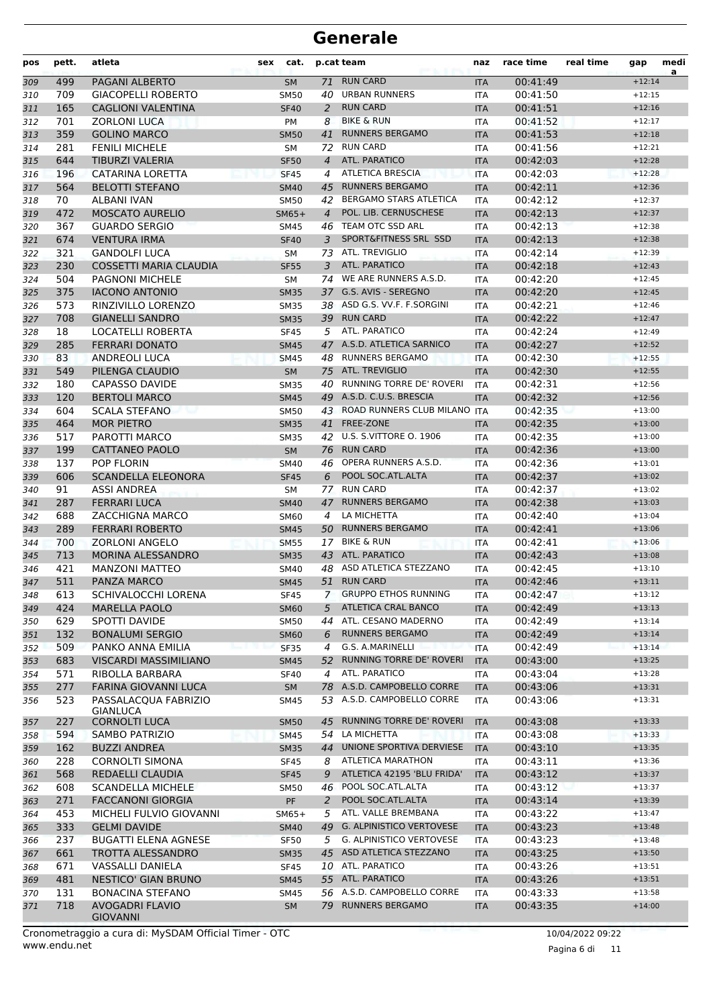| pos | pett. | atleta                             | cat.<br>sex |                | p.cat team                      | naz        | race time | real time | gap      | medi<br>a |
|-----|-------|------------------------------------|-------------|----------------|---------------------------------|------------|-----------|-----------|----------|-----------|
| 309 | 499   | PAGANI ALBERTO                     | <b>SM</b>   | 71             | <b>RUN CARD</b>                 | <b>ITA</b> | 00:41:49  |           | $+12:14$ |           |
| 310 | 709   | <b>GIACOPELLI ROBERTO</b>          | <b>SM50</b> | 40             | <b>URBAN RUNNERS</b>            | <b>ITA</b> | 00:41:50  |           | $+12:15$ |           |
| 311 | 165   | <b>CAGLIONI VALENTINA</b>          | <b>SF40</b> | 2              | <b>RUN CARD</b>                 | <b>ITA</b> | 00:41:51  |           | $+12:16$ |           |
| 312 | 701   | <b>ZORLONI LUCA</b>                | <b>PM</b>   | 8              | <b>BIKE &amp; RUN</b>           | <b>ITA</b> | 00:41:52  |           | $+12:17$ |           |
| 313 | 359   | <b>GOLINO MARCO</b>                | <b>SM50</b> | 41             | <b>RUNNERS BERGAMO</b>          | <b>ITA</b> | 00:41:53  |           | $+12:18$ |           |
| 314 | 281   | <b>FENILI MICHELE</b>              | SM          | 72             | <b>RUN CARD</b>                 | <b>ITA</b> | 00:41:56  |           | $+12:21$ |           |
| 315 | 644   | <b>TIBURZI VALERIA</b>             | <b>SF50</b> | $\overline{4}$ | ATL. PARATICO                   | <b>ITA</b> | 00:42:03  |           | $+12:28$ |           |
| 316 | 196   | <b>CATARINA LORETTA</b>            | <b>SF45</b> | 4              | <b>ATLETICA BRESCIA</b>         | <b>ITA</b> | 00:42:03  |           | $+12:28$ |           |
| 317 | 564   | <b>BELOTTI STEFANO</b>             | <b>SM40</b> | 45             | <b>RUNNERS BERGAMO</b>          | <b>ITA</b> | 00:42:11  |           | $+12:36$ |           |
| 318 | 70    | <b>ALBANI IVAN</b>                 | <b>SM50</b> | 42             | <b>BERGAMO STARS ATLETICA</b>   | <b>ITA</b> | 00:42:12  |           | $+12:37$ |           |
| 319 | 472   | <b>MOSCATO AURELIO</b>             | $SM65+$     | $\overline{4}$ | POL. LIB. CERNUSCHESE           | <b>ITA</b> | 00:42:13  |           | $+12:37$ |           |
| 320 | 367   | <b>GUARDO SERGIO</b>               | <b>SM45</b> |                | 46 TEAM OTC SSD ARL             | <b>ITA</b> | 00:42:13  |           | $+12:38$ |           |
| 321 | 674   | <b>VENTURA IRMA</b>                | <b>SF40</b> | 3              | SPORT&FITNESS SRL SSD           | <b>ITA</b> | 00:42:13  |           | $+12:38$ |           |
| 322 | 321   | <b>GANDOLFI LUCA</b>               | <b>SM</b>   |                | 73 ATL. TREVIGLIO               | <b>ITA</b> | 00:42:14  |           | $+12:39$ |           |
| 323 | 230   | COSSETTI MARIA CLAUDIA             | <b>SF55</b> | 3              | ATL. PARATICO                   | <b>ITA</b> | 00:42:18  |           | $+12:43$ |           |
| 324 | 504   | <b>PAGNONI MICHELE</b>             | <b>SM</b>   | 74             | WE ARE RUNNERS A.S.D.           | <b>ITA</b> | 00:42:20  |           | $+12:45$ |           |
| 325 | 375   | <b>IACONO ANTONIO</b>              | <b>SM35</b> | 37             | G.S. AVIS - SEREGNO             | <b>ITA</b> | 00:42:20  |           | $+12:45$ |           |
| 326 | 573   | RINZIVILLO LORENZO                 | <b>SM35</b> |                | 38 ASD G.S. VV.F. F.SORGINI     | <b>ITA</b> | 00:42:21  |           | $+12:46$ |           |
| 327 | 708   | <b>GIANELLI SANDRO</b>             | <b>SM35</b> |                | 39 RUN CARD                     | <b>ITA</b> | 00:42:22  |           | $+12:47$ |           |
| 328 | 18    | <b>LOCATELLI ROBERTA</b>           | <b>SF45</b> | 5              | ATL. PARATICO                   | <b>ITA</b> | 00:42:24  |           | $+12:49$ |           |
| 329 | 285   | <b>FERRARI DONATO</b>              | <b>SM45</b> | 47             | A.S.D. ATLETICA SARNICO         | <b>ITA</b> | 00:42:27  |           | $+12:52$ |           |
| 330 | 83    | <b>ANDREOLI LUCA</b>               | <b>SM45</b> | 48             | <b>RUNNERS BERGAMO</b>          | <b>ITA</b> | 00:42:30  |           | $+12:55$ |           |
| 331 | 549   | PILENGA CLAUDIO                    | <b>SM</b>   | 75             | <b>ATL. TREVIGLIO</b>           | <b>ITA</b> | 00:42:30  |           | $+12:55$ |           |
| 332 | 180   | <b>CAPASSO DAVIDE</b>              | <b>SM35</b> | 40             | RUNNING TORRE DE' ROVERI        | <b>ITA</b> | 00:42:31  |           | $+12:56$ |           |
| 333 | 120   | <b>BERTOLI MARCO</b>               | <b>SM45</b> |                | 49 A.S.D. C.U.S. BRESCIA        | <b>ITA</b> | 00:42:32  |           | $+12:56$ |           |
| 334 | 604   | <b>SCALA STEFANO</b>               | <b>SM50</b> |                | 43 ROAD RUNNERS CLUB MILANO ITA |            | 00:42:35  |           | $+13:00$ |           |
| 335 | 464   | <b>MOR PIETRO</b>                  | <b>SM35</b> | 41             | <b>FREE-ZONE</b>                | <b>ITA</b> | 00:42:35  |           | $+13:00$ |           |
| 336 | 517   | PAROTTI MARCO                      | <b>SM35</b> | 42             | U.S. S.VITTORE O. 1906          | <b>ITA</b> | 00:42:35  |           | $+13:00$ |           |
| 337 | 199   | CATTANEO PAOLO                     | <b>SM</b>   | 76             | <b>RUN CARD</b>                 | <b>ITA</b> | 00:42:36  |           | $+13:00$ |           |
| 338 | 137   | <b>POP FLORIN</b>                  | <b>SM40</b> | 46             | OPERA RUNNERS A.S.D.            | <b>ITA</b> | 00:42:36  |           | $+13:01$ |           |
| 339 | 606   | <b>SCANDELLA ELEONORA</b>          | <b>SF45</b> | 6              | POOL SOC.ATL.ALTA               | <b>ITA</b> | 00:42:37  |           | $+13:02$ |           |
| 340 | 91    | <b>ASSI ANDREA</b>                 | <b>SM</b>   | 77             | <b>RUN CARD</b>                 | <b>ITA</b> | 00:42:37  |           | $+13:02$ |           |
| 341 | 287   | <b>FERRARI LUCA</b>                | <b>SM40</b> | 47             | <b>RUNNERS BERGAMO</b>          | <b>ITA</b> | 00:42:38  |           | $+13:03$ |           |
| 342 | 688   | ZACCHIGNA MARCO                    | <b>SM60</b> | 4              | LA MICHETTA                     | <b>ITA</b> | 00:42:40  |           | $+13:04$ |           |
| 343 | 289   | <b>FERRARI ROBERTO</b>             | <b>SM45</b> | 50             | <b>RUNNERS BERGAMO</b>          | <b>ITA</b> | 00:42:41  |           | $+13:06$ |           |
| 344 | 700   | <b>ZORLONI ANGELO</b>              | <b>SM55</b> | 17             | <b>BIKE &amp; RUN</b>           | <b>ITA</b> | 00:42:41  |           | $+13:06$ |           |
| 345 | 713   | <b>MORINA ALESSANDRO</b>           | <b>SM35</b> |                | 43 ATL. PARATICO                | <b>ITA</b> | 00:42:43  |           | $+13:08$ |           |
| 346 | 421   | <b>MANZONI MATTEO</b>              | <b>SM40</b> | 48             | ASD ATLETICA STEZZANO           | <b>ITA</b> | 00:42:45  |           | $+13:10$ |           |
| 347 | 511   | PANZA MARCO                        | <b>SM45</b> | 51             | <b>RUN CARD</b>                 | <b>ITA</b> | 00:42:46  |           | $+13:11$ |           |
| 348 | 613   | SCHIVALOCCHI LORENA                | <b>SF45</b> | 7              | <b>GRUPPO ETHOS RUNNING</b>     | ITA        | 00:42:47  |           | $+13:12$ |           |
| 349 | 424   | <b>MARELLA PAOLO</b>               | <b>SM60</b> | 5              | <b>ATLETICA CRAL BANCO</b>      | <b>ITA</b> | 00:42:49  |           | $+13:13$ |           |
| 350 | 629   | SPOTTI DAVIDE                      | <b>SM50</b> | 44             | ATL. CESANO MADERNO             | ITA        | 00:42:49  |           | $+13:14$ |           |
| 351 | 132   | <b>BONALUMI SERGIO</b>             | <b>SM60</b> | 6              | <b>RUNNERS BERGAMO</b>          | <b>ITA</b> | 00:42:49  |           | $+13:14$ |           |
| 352 | 509   | PANKO ANNA EMILIA                  | <b>SF35</b> | 4              | G.S. A.MARINELLI                | <b>ITA</b> | 00:42:49  |           | $+13:14$ |           |
| 353 | 683   | <b>VISCARDI MASSIMILIANO</b>       | <b>SM45</b> | 52             | RUNNING TORRE DE' ROVERI        | <b>ITA</b> | 00:43:00  |           | $+13:25$ |           |
| 354 | 571   | RIBOLLA BARBARA                    | <b>SF40</b> | 4              | ATL. PARATICO                   | ITA        | 00:43:04  |           | $+13:28$ |           |
| 355 | 277   | FARINA GIOVANNI LUCA               | <b>SM</b>   |                | 78 A.S.D. CAMPOBELLO CORRE      | <b>ITA</b> | 00:43:06  |           | $+13:31$ |           |
| 356 | 523   | PASSALACQUA FABRIZIO               | SM45        |                | 53 A.S.D. CAMPOBELLO CORRE      | ITA        | 00:43:06  |           | $+13:31$ |           |
|     |       | <b>GIANLUCA</b>                    |             |                |                                 |            |           |           |          |           |
| 357 | 227   | <b>CORNOLTI LUCA</b>               | <b>SM50</b> | 45             | RUNNING TORRE DE' ROVERI        | <b>ITA</b> | 00:43:08  |           | $+13:33$ |           |
| 358 | 594   | SAMBO PATRIZIO                     | <b>SM45</b> |                | 54 LA MICHETTA                  | ITA        | 00:43:08  |           | $+13:33$ |           |
| 359 | 162   | <b>BUZZI ANDREA</b>                | <b>SM35</b> | 44             | UNIONE SPORTIVA DERVIESE        | <b>ITA</b> | 00:43:10  |           | $+13:35$ |           |
| 360 | 228   | <b>CORNOLTI SIMONA</b>             | SF45        | 8              | ATLETICA MARATHON               | ITA        | 00:43:11  |           | $+13:36$ |           |
| 361 | 568   | REDAELLI CLAUDIA                   | <b>SF45</b> | 9              | ATLETICA 42195 'BLU FRIDA'      | <b>ITA</b> | 00:43:12  |           | $+13:37$ |           |
| 362 | 608   | <b>SCANDELLA MICHELE</b>           | SM50        | 46             | POOL SOC.ATL.ALTA               | ITA        | 00:43:12  |           | $+13:37$ |           |
| 363 | 271   | <b>FACCANONI GIORGIA</b>           | PF          | 2              | POOL SOC.ATL.ALTA               | <b>ITA</b> | 00:43:14  |           | $+13:39$ |           |
| 364 | 453   | MICHELI FULVIO GIOVANNI            | $SM65+$     | 5              | ATL. VALLE BREMBANA             | ITA        | 00:43:22  |           | $+13:47$ |           |
| 365 | 333   | <b>GELMI DAVIDE</b>                | <b>SM40</b> |                | 49 G. ALPINISTICO VERTOVESE     | <b>ITA</b> | 00:43:23  |           | $+13:48$ |           |
| 366 | 237   | <b>BUGATTI ELENA AGNESE</b>        | <b>SF50</b> | 5              | G. ALPINISTICO VERTOVESE        | <b>ITA</b> | 00:43:23  |           | $+13:48$ |           |
| 367 | 661   | TROTTA ALESSANDRO                  | <b>SM35</b> |                | 45 ASD ATLETICA STEZZANO        | <b>ITA</b> | 00:43:25  |           | $+13:50$ |           |
| 368 | 671   | VASSALLI DANIELA                   | <b>SF45</b> |                | 10 ATL. PARATICO                | ITA        | 00:43:26  |           | $+13:51$ |           |
| 369 | 481   | NESTICO' GIAN BRUNO                | <b>SM45</b> |                | 55 ATL. PARATICO                | <b>ITA</b> | 00:43:26  |           | $+13:51$ |           |
| 370 | 131   | <b>BONACINA STEFANO</b>            | <b>SM45</b> |                | 56 A.S.D. CAMPOBELLO CORRE      | <b>ITA</b> | 00:43:33  |           | $+13:58$ |           |
| 371 | 718   | AVOGADRI FLAVIO<br><b>GIOVANNI</b> | <b>SM</b>   | 79             | <b>RUNNERS BERGAMO</b>          | <b>ITA</b> | 00:43:35  |           | $+14:00$ |           |

Pagina 6 di 11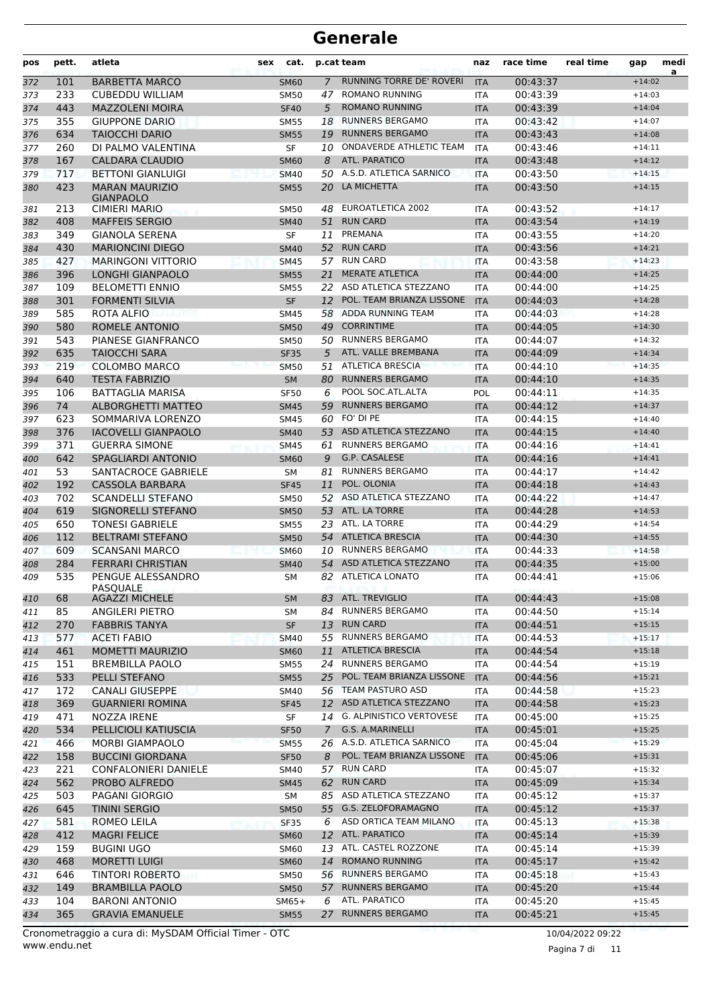| pos        | pett.      | atleta                                         | sex | cat.                       |                | p.cat team                              | naz               | race time            | real time | gap                  | medi<br>a |
|------------|------------|------------------------------------------------|-----|----------------------------|----------------|-----------------------------------------|-------------------|----------------------|-----------|----------------------|-----------|
| 372        | 101        | <b>BARBETTA MARCO</b>                          |     | <b>SM60</b>                | $\overline{7}$ | RUNNING TORRE DE' ROVERI                | <b>ITA</b>        | 00:43:37             |           | $+14:02$             |           |
| 373        | 233        | <b>CUBEDDU WILLIAM</b>                         |     | <b>SM50</b>                | 47             | <b>ROMANO RUNNING</b>                   | <b>ITA</b>        | 00:43:39             |           | $+14:03$             |           |
| 374        | 443        | <b>MAZZOLENI MOIRA</b>                         |     | <b>SF40</b>                | 5              | <b>ROMANO RUNNING</b>                   | <b>ITA</b>        | 00:43:39             |           | $+14:04$             |           |
| 375        | 355        | <b>GIUPPONE DARIO</b>                          |     | <b>SM55</b>                | 18             | <b>RUNNERS BERGAMO</b>                  | <b>ITA</b>        | 00:43:42             |           | $+14:07$             |           |
| 376        | 634        | <b>TAIOCCHI DARIO</b>                          |     | <b>SM55</b>                | 19             | <b>RUNNERS BERGAMO</b>                  | <b>ITA</b>        | 00:43:43             |           | $+14:08$             |           |
| 377        | 260        | DI PALMO VALENTINA                             |     | <b>SF</b>                  | 10             | ONDAVERDE ATHLETIC TEAM                 | <b>ITA</b>        | 00:43:46             |           | $+14:11$             |           |
| 378        | 167        | <b>CALDARA CLAUDIO</b>                         |     | <b>SM60</b>                | 8              | ATL. PARATICO                           | <b>ITA</b>        | 00:43:48             |           | $+14:12$             |           |
| 379        | 717        | <b>BETTONI GIANLUIGI</b>                       |     | <b>SM40</b>                |                | 50 A.S.D. ATLETICA SARNICO              | <b>ITA</b>        | 00:43:50             |           | $+14:15$             |           |
| 380        | 423        | <b>MARAN MAURIZIO</b>                          |     | <b>SM55</b>                |                | 20 LA MICHETTA                          | <b>ITA</b>        | 00:43:50             |           | $+14:15$             |           |
| 381        | 213        | <b>GIANPAOLO</b><br><b>CIMIERI MARIO</b>       |     | SM50                       | 48             | EUROATLETICA 2002                       | <b>ITA</b>        | 00:43:52             |           | $+14:17$             |           |
| 382        | 408        | <b>MAFFEIS SERGIO</b>                          |     | <b>SM40</b>                | 51             | <b>RUN CARD</b>                         | <b>ITA</b>        | 00:43:54             |           | $+14:19$             |           |
| 383        | 349        | <b>GIANOLA SERENA</b>                          |     | <b>SF</b>                  | 11             | PREMANA                                 | <b>ITA</b>        | 00:43:55             |           | $+14:20$             |           |
| 384        | 430        | <b>MARIONCINI DIEGO</b>                        |     | <b>SM40</b>                |                | 52 RUN CARD                             | <b>ITA</b>        | 00:43:56             |           | $+14:21$             |           |
| 385        | 427        | <b>MARINGONI VITTORIO</b>                      |     | <b>SM45</b>                |                | 57 RUN CARD                             | <b>ITA</b>        | 00:43:58             |           | $+14:23$             |           |
| 386        | 396        | <b>LONGHI GIANPAOLO</b>                        |     | <b>SM55</b>                | 21             | <b>MERATE ATLETICA</b>                  | <b>ITA</b>        | 00:44:00             |           | $+14:25$             |           |
| 387        | 109        | <b>BELOMETTI ENNIO</b>                         |     | <b>SM55</b>                |                | 22 ASD ATLETICA STEZZANO                | <b>ITA</b>        | 00:44:00             |           | $+14:25$             |           |
| 388        | 301        | <b>FORMENTI SILVIA</b>                         |     | <b>SF</b>                  | 12             | POL. TEAM BRIANZA LISSONE               | <b>ITA</b>        | 00:44:03             |           | $+14:28$             |           |
| 389        | 585        | ROTA ALFIO                                     |     | <b>SM45</b>                | 58             | ADDA RUNNING TEAM                       | <b>ITA</b>        | 00:44:03             |           | $+14:28$             |           |
| 390        | 580        | <b>ROMELE ANTONIO</b>                          |     | <b>SM50</b>                | 49             | <b>CORRINTIME</b>                       | <b>ITA</b>        | 00:44:05             |           | $+14:30$             |           |
| 391        | 543        | PIANESE GIANFRANCO                             |     | SM50                       | 50             | <b>RUNNERS BERGAMO</b>                  | <b>ITA</b>        | 00:44:07             |           | $+14:32$             |           |
| 392        | 635        | <b>TAIOCCHI SARA</b>                           |     | <b>SF35</b>                | 5              | ATL. VALLE BREMBANA                     | <b>ITA</b>        | 00:44:09             |           | $+14:34$             |           |
| 393        | 219        | COLOMBO MARCO                                  |     | <b>SM50</b>                | 51             | <b>ATLETICA BRESCIA</b>                 | <b>ITA</b>        | 00:44:10             |           | $+14:35$             |           |
| 394        | 640        | <b>TESTA FABRIZIO</b>                          |     | <b>SM</b>                  | 80             | <b>RUNNERS BERGAMO</b>                  | <b>ITA</b>        | 00:44:10             |           | $+14:35$             |           |
| 395        | 106        | <b>BATTAGLIA MARISA</b>                        |     | <b>SF50</b>                | 6              | POOL SOC.ATL.ALTA                       | POL               | 00:44:11             |           | $+14:35$             |           |
| 396        | 74         | <b>ALBORGHETTI MATTEO</b>                      |     | <b>SM45</b>                | 59             | <b>RUNNERS BERGAMO</b>                  | <b>ITA</b>        | 00:44:12             |           | $+14:37$             |           |
| 397        | 623        | SOMMARIVA LORENZO                              |     | SM45                       |                | 60 FO' DI PE                            | <b>ITA</b>        | 00:44:15             |           | $+14:40$             |           |
| 398        | 376        | <b>IACOVELLI GIANPAOLO</b>                     |     | <b>SM40</b>                |                | 53 ASD ATLETICA STEZZANO                | <b>ITA</b>        | 00:44:15             |           | $+14:40$             |           |
| 399        | 371        | <b>GUERRA SIMONE</b>                           |     | <b>SM45</b>                | 61             | <b>RUNNERS BERGAMO</b>                  | <b>ITA</b>        | 00:44:16             |           | $+14:41$             |           |
| 400        | 642        | <b>SPAGLIARDI ANTONIO</b>                      |     | <b>SM60</b>                | 9              | G.P. CASALESE                           | <b>ITA</b>        | 00:44:16             |           | $+14:41$             |           |
| 401        | 53         | SANTACROCE GABRIELE                            |     | <b>SM</b>                  | 81             | <b>RUNNERS BERGAMO</b>                  | <b>ITA</b>        | 00:44:17             |           | $+14:42$             |           |
| 402        | 192        | CASSOLA BARBARA                                |     | <b>SF45</b>                | 11             | POL. OLONIA                             | <b>ITA</b>        | 00:44:18             |           | $+14:43$             |           |
| 403        | 702        | <b>SCANDELLI STEFANO</b>                       |     | SM50                       | 52             | ASD ATLETICA STEZZANO                   | <b>ITA</b>        | 00:44:22             |           | $+14:47$             |           |
| 404        | 619        | SIGNORELLI STEFANO                             |     | <b>SM50</b>                |                | 53 ATL. LA TORRE                        | <b>ITA</b>        | 00:44:28             |           | $+14:53$             |           |
| 405        | 650        | <b>TONESI GABRIELE</b>                         |     | SM55                       |                | 23 ATL. LA TORRE                        | <b>ITA</b>        | 00:44:29             |           | $+14:54$             |           |
| 406        | 112        | <b>BELTRAMI STEFANO</b>                        |     | <b>SM50</b>                |                | 54 ATLETICA BRESCIA                     | <b>ITA</b>        | 00:44:30             |           | $+14:55$             |           |
| 407        | 609        | <b>SCANSANI MARCO</b>                          |     | <b>SM60</b>                | 10             | <b>RUNNERS BERGAMO</b>                  | <b>ITA</b>        | 00:44:33             |           | $+14:58$             |           |
| 408        | 284        | <b>FERRARI CHRISTIAN</b>                       |     | <b>SM40</b>                | 54             | ASD ATLETICA STEZZANO                   | <b>ITA</b>        | 00:44:35             |           | $+15:00$             |           |
| 409        | 535        | PENGUE ALESSANDRO<br>PASQUALE                  |     | SM                         |                | 82 ATLETICA LONATO<br>83 ATL. TREVIGLIO | <b>ITA</b>        | 00:44:41             |           | $+15:06$             |           |
| 410        | 68         | <b>AGAZZI MICHELE</b>                          |     | <b>SM</b>                  |                | 84 RUNNERS BERGAMO                      | <b>ITA</b>        | 00:44:43             |           | $+15:08$<br>$+15:14$ |           |
| 411        | 85         | <b>ANGILERI PIETRO</b><br><b>FABBRIS TANYA</b> |     | SM                         |                | 13 RUN CARD                             | ITA               | 00:44:50<br>00:44:51 |           | $+15:15$             |           |
| 412        | 270        | <b>ACETI FABIO</b>                             |     | SF                         |                | 55 RUNNERS BERGAMO                      | <b>ITA</b><br>ITA | 00:44:53             |           | $+15:17$             |           |
| 413<br>414 | 577<br>461 | <b>MOMETTI MAURIZIO</b>                        |     | <b>SM40</b><br><b>SM60</b> | 11             | <b>ATLETICA BRESCIA</b>                 | <b>ITA</b>        | 00:44:54             |           | $+15:18$             |           |
| 415        | 151        | <b>BREMBILLA PAOLO</b>                         |     | SM55                       |                | 24 RUNNERS BERGAMO                      | ITA               | 00:44:54             |           | $+15:19$             |           |
| 416        | 533        | PELLI STEFANO                                  |     | <b>SM55</b>                |                | 25 POL. TEAM BRIANZA LISSONE            | <b>ITA</b>        | 00:44:56             |           | $+15:21$             |           |
| 417        | 172        | <b>CANALI GIUSEPPE</b>                         |     | SM40                       |                | 56 TEAM PASTURO ASD                     | ITA               | 00:44:58             |           | $+15:23$             |           |
| 418        | 369        | <b>GUARNIERI ROMINA</b>                        |     | <b>SF45</b>                |                | 12 ASD ATLETICA STEZZANO                | <b>ITA</b>        | 00:44:58             |           | $+15:23$             |           |
| 419        | 471        | NOZZA IRENE                                    |     | SF                         |                | 14 G. ALPINISTICO VERTOVESE             | ITA               | 00:45:00             |           | $+15:25$             |           |
| 420        | 534        | PELLICIOLI KATIUSCIA                           |     | <b>SF50</b>                | $\mathcal{I}$  | G.S. A.MARINELLI                        | <b>ITA</b>        | 00:45:01             |           | $+15:25$             |           |
| 421        | 466        | <b>MORBI GIAMPAOLO</b>                         |     | <b>SM55</b>                |                | 26 A.S.D. ATLETICA SARNICO              | ITA               | 00:45:04             |           | $+15:29$             |           |
| 422        | 158        | <b>BUCCINI GIORDANA</b>                        |     | <b>SF50</b>                | 8              | POL. TEAM BRIANZA LISSONE               | <b>ITA</b>        | 00:45:06             |           | $+15:31$             |           |
| 423        | 221        | <b>CONFALONIERI DANIELE</b>                    |     | SM40                       |                | 57 RUN CARD                             | ITA               | 00:45:07             |           | $+15:32$             |           |
| 424        | 562        | PROBO ALFREDO                                  |     | <b>SM45</b>                |                | 62 RUN CARD                             | <b>ITA</b>        | 00:45:09             |           | $+15:34$             |           |
| 425        | 503        | PAGANI GIORGIO                                 |     | SM                         |                | 85 ASD ATLETICA STEZZANO                | ITA               | 00:45:12             |           | $+15:37$             |           |
| 426        | 645        | <b>TININI SERGIO</b>                           |     | <b>SM50</b>                |                | 55 G.S. ZELOFORAMAGNO                   | <b>ITA</b>        | 00:45:12             |           | $+15:37$             |           |
| 427        | 581        | ROMEO LEILA                                    |     | SF35                       | 6              | ASD ORTICA TEAM MILANO                  | ITA               | 00:45:13             |           | $+15:38$             |           |
| 428        | 412        | <b>MAGRI FELICE</b>                            |     | <b>SM60</b>                |                | 12 ATL. PARATICO                        | <b>ITA</b>        | 00:45:14             |           | $+15:39$             |           |
| 429        | 159        | <b>BUGINI UGO</b>                              |     | <b>SM60</b>                |                | 13 ATL. CASTEL ROZZONE                  | ITA               | 00:45:14             |           | $+15:39$             |           |
| 430        | 468        | <b>MORETTI LUIGI</b>                           |     | <b>SM60</b>                |                | 14 ROMANO RUNNING                       | <b>ITA</b>        | 00:45:17             |           | $+15:42$             |           |
| 431        | 646        | <b>TINTORI ROBERTO</b>                         |     | <b>SM50</b>                |                | 56 RUNNERS BERGAMO                      | ITA               | 00:45:18             |           | $+15:43$             |           |
| 432        | 149        | <b>BRAMBILLA PAOLO</b>                         |     | <b>SM50</b>                | 57             | <b>RUNNERS BERGAMO</b>                  | <b>ITA</b>        | 00:45:20             |           | $+15:44$             |           |
| 433        | 104        | <b>BARONI ANTONIO</b>                          |     | $SM65+$                    | 6              | ATL. PARATICO                           | ITA               | 00:45:20             |           | $+15:45$             |           |
| 434        | 365        | <b>GRAVIA EMANUELE</b>                         |     | <b>SM55</b>                |                | 27 RUNNERS BERGAMO                      | <b>ITA</b>        | 00:45:21             |           | $+15:45$             |           |

Pagina 7 di 11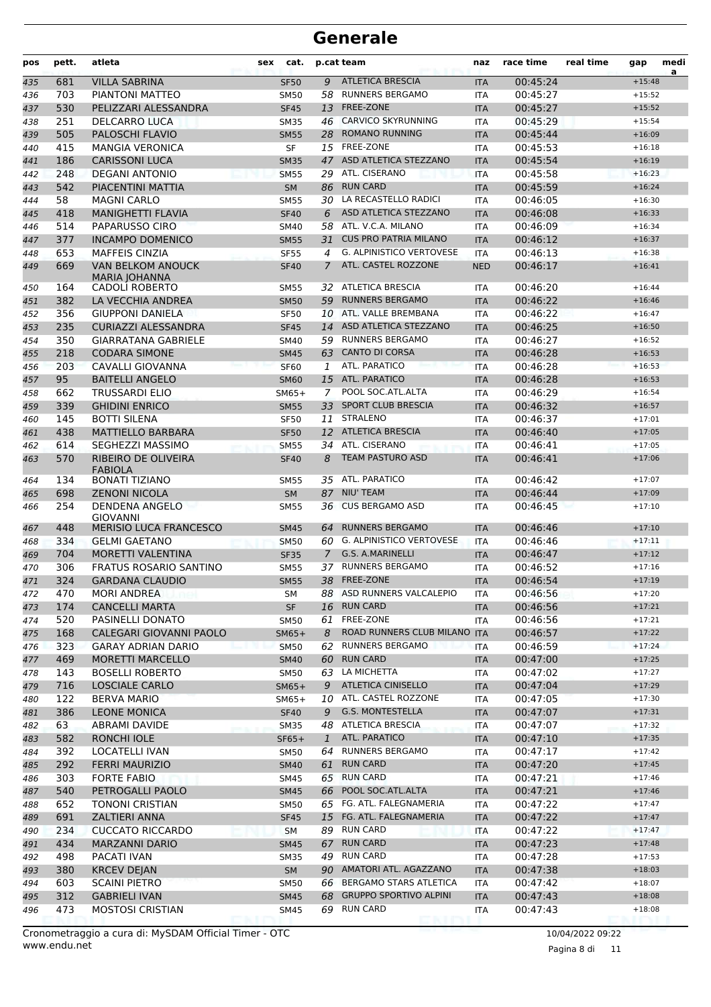| pos | pett. | atleta                                       | cat.<br><b>sex</b> |               | p.cat team                      | naz        | race time | real time | gap      | medi<br>a |
|-----|-------|----------------------------------------------|--------------------|---------------|---------------------------------|------------|-----------|-----------|----------|-----------|
| 435 | 681   | <b>VILLA SABRINA</b>                         | <b>SF50</b>        | 9             | <b>ATLETICA BRESCIA</b>         | <b>ITA</b> | 00:45:24  |           | $+15:48$ |           |
| 436 | 703   | PIANTONI MATTEO                              | <b>SM50</b>        | 58            | <b>RUNNERS BERGAMO</b>          | <b>ITA</b> | 00:45:27  |           | $+15:52$ |           |
| 437 | 530   | PELIZZARI ALESSANDRA                         | <b>SF45</b>        | 13            | FREE-ZONE                       | <b>ITA</b> | 00:45:27  |           | $+15:52$ |           |
| 438 | 251   | <b>DELCARRO LUCA</b>                         | <b>SM35</b>        | 46            | <b>CARVICO SKYRUNNING</b>       | <b>ITA</b> | 00:45:29  |           | $+15:54$ |           |
| 439 | 505   | PALOSCHI FLAVIO                              | <b>SM55</b>        | 28            | <b>ROMANO RUNNING</b>           | <b>ITA</b> | 00:45:44  |           | $+16:09$ |           |
| 440 | 415   | <b>MANGIA VERONICA</b>                       | <b>SF</b>          |               | 15 FREE-ZONE                    | <b>ITA</b> | 00:45:53  |           | $+16:18$ |           |
| 441 | 186   | <b>CARISSONI LUCA</b>                        | <b>SM35</b>        | 47            | ASD ATLETICA STEZZANO           | <b>ITA</b> | 00:45:54  |           | $+16:19$ |           |
| 442 | 248   | <b>DEGANI ANTONIO</b>                        | <b>SM55</b>        | 29            | ATL. CISERANO                   | <b>ITA</b> | 00:45:58  |           | $+16:23$ |           |
| 443 | 542   | PIACENTINI MATTIA                            | <b>SM</b>          | 86            | <b>RUN CARD</b>                 | <b>ITA</b> | 00:45:59  |           | $+16:24$ |           |
| 444 | 58    | <b>MAGNI CARLO</b>                           | <b>SM55</b>        | 30            | LA RECASTELLO RADICI            | <b>ITA</b> | 00:46:05  |           | $+16:30$ |           |
| 445 | 418   | <b>MANIGHETTI FLAVIA</b>                     | <b>SF40</b>        | 6             | ASD ATLETICA STEZZANO           | <b>ITA</b> | 00:46:08  |           | $+16:33$ |           |
| 446 | 514   | PAPARUSSO CIRO                               | SM40               | 58            | ATL. V.C.A. MILANO              | <b>ITA</b> | 00:46:09  |           | $+16:34$ |           |
| 447 | 377   | <b>INCAMPO DOMENICO</b>                      | <b>SM55</b>        | 31            | <b>CUS PRO PATRIA MILANO</b>    | <b>ITA</b> | 00:46:12  |           | $+16:37$ |           |
| 448 | 653   | <b>MAFFEIS CINZIA</b>                        | <b>SF55</b>        | 4             | <b>G. ALPINISTICO VERTOVESE</b> | ITA        | 00:46:13  |           | $+16:38$ |           |
| 449 | 669   | <b>VAN BELKOM ANOUCK</b>                     | <b>SF40</b>        | 7             | ATL. CASTEL ROZZONE             | <b>NED</b> | 00:46:17  |           | $+16:41$ |           |
|     |       | <b>MARIA JOHANNA</b>                         |                    |               |                                 |            |           |           |          |           |
| 450 | 164   | CADOLI ROBERTO                               | <b>SM55</b>        | 32            | <b>ATLETICA BRESCIA</b>         | <b>ITA</b> | 00:46:20  |           | $+16:44$ |           |
| 451 | 382   | LA VECCHIA ANDREA                            | <b>SM50</b>        | 59            | <b>RUNNERS BERGAMO</b>          | <b>ITA</b> | 00:46:22  |           | $+16:46$ |           |
| 452 | 356   | <b>GIUPPONI DANIELA</b>                      | <b>SF50</b>        | 10            | ATL, VALLE BREMBANA             | <b>ITA</b> | 00:46:22  |           | $+16:47$ |           |
| 453 | 235   | <b>CURIAZZI ALESSANDRA</b>                   | <b>SF45</b>        | 14            | ASD ATLETICA STEZZANO           | <b>ITA</b> | 00:46:25  |           | $+16:50$ |           |
| 454 | 350   | <b>GIARRATANA GABRIELE</b>                   | <b>SM40</b>        | 59            | <b>RUNNERS BERGAMO</b>          | <b>ITA</b> | 00:46:27  |           | $+16:52$ |           |
| 455 | 218   | <b>CODARA SIMONE</b>                         | <b>SM45</b>        |               | 63 CANTO DI CORSA               | <b>ITA</b> | 00:46:28  |           | $+16:53$ |           |
| 456 | 203   | CAVALLI GIOVANNA                             | <b>SF60</b>        | 1             | ATL. PARATICO                   | <b>ITA</b> | 00:46:28  |           | $+16:53$ |           |
| 457 | 95    | <b>BAITELLI ANGELO</b>                       | <b>SM60</b>        | 15            | <b>ATL. PARATICO</b>            | <b>ITA</b> | 00:46:28  |           | $+16:53$ |           |
| 458 | 662   | <b>TRUSSARDI ELIO</b>                        | $SM65+$            | 7             | POOL SOC.ATL.ALTA               | <b>ITA</b> | 00:46:29  |           | $+16:54$ |           |
| 459 | 339   | <b>GHIDINI ENRICO</b>                        | <b>SM55</b>        |               | 33 SPORT CLUB BRESCIA           | <b>ITA</b> | 00:46:32  |           | $+16:57$ |           |
| 460 | 145   | <b>BOTTI SILENA</b>                          | <b>SF50</b>        | 11            | <b>STRALENO</b>                 | <b>ITA</b> | 00:46:37  |           | $+17:01$ |           |
| 461 | 438   | <b>MATTIELLO BARBARA</b>                     | <b>SF50</b>        |               | 12 ATLETICA BRESCIA             | <b>ITA</b> | 00:46:40  |           | $+17:05$ |           |
| 462 | 614   | SEGHEZZI MASSIMO                             | <b>SM55</b>        | 34            | ATL. CISERANO                   | <b>ITA</b> | 00:46:41  |           | $+17:05$ |           |
| 463 | 570   | <b>RIBEIRO DE OLIVEIRA</b><br><b>FABIOLA</b> | <b>SF40</b>        | 8             | <b>TEAM PASTURO ASD</b>         | <b>ITA</b> | 00:46:41  |           | $+17:06$ |           |
| 464 | 134   | <b>BONATI TIZIANO</b>                        | <b>SM55</b>        | 35            | ATL. PARATICO                   | <b>ITA</b> | 00:46:42  |           | $+17:07$ |           |
| 465 | 698   | <b>ZENONI NICOLA</b>                         | <b>SM</b>          | 87            | <b>NIU' TEAM</b>                | <b>ITA</b> | 00:46:44  |           | $+17:09$ |           |
| 466 | 254   | DENDENA ANGELO<br><b>GIOVANNI</b>            | <b>SM55</b>        |               | 36 CUS BERGAMO ASD              | <b>ITA</b> | 00:46:45  |           | $+17:10$ |           |
| 467 | 448   | <b>MERISIO LUCA FRANCESCO</b>                | <b>SM45</b>        | 64            | <b>RUNNERS BERGAMO</b>          | <b>ITA</b> | 00:46:46  |           | $+17:10$ |           |
| 468 | 334   | <b>GELMI GAETANO</b>                         | <b>SM50</b>        | 60            | <b>G. ALPINISTICO VERTOVESE</b> | <b>ITA</b> | 00:46:46  |           | $+17:11$ |           |
| 469 | 704   | MORETTI VALENTINA                            | <b>SF35</b>        | $\mathcal{I}$ | G.S. A.MARINELLI                | <b>ITA</b> | 00:46:47  |           | $+17:12$ |           |
| 470 | 306   | <b>FRATUS ROSARIO SANTINO</b>                | <b>SM55</b>        | 37            | <b>RUNNERS BERGAMO</b>          | <b>ITA</b> | 00:46:52  |           | $+17:16$ |           |
| 471 | 324   | <b>GARDANA CLAUDIO</b>                       | <b>SM55</b>        |               | 38 FREE-ZONE                    | <b>ITA</b> | 00:46:54  |           | $+17:19$ |           |
| 472 | 470   | <b>MORI ANDREA</b>                           | SM                 |               | 88 ASD RUNNERS VALCALEPIO       | ITA        | 00:46:56  |           | $+17:20$ |           |
| 473 | 174   | <b>CANCELLI MARTA</b>                        | <b>SF</b>          |               | 16 RUN CARD                     | <b>ITA</b> | 00:46:56  |           | $+17:21$ |           |
| 474 | 520   | PASINELLI DONATO                             | <b>SM50</b>        | 61            | FREE-ZONE                       | <b>ITA</b> | 00:46:56  |           | $+17:21$ |           |
| 475 | 168   | CALEGARI GIOVANNI PAOLO                      | $SM65+$            | 8             | ROAD RUNNERS CLUB MILANO ITA    |            | 00:46:57  |           | $+17:22$ |           |
| 476 | 323   | <b>GARAY ADRIAN DARIO</b>                    | <b>SM50</b>        | 62            | <b>RUNNERS BERGAMO</b>          | ITA        | 00:46:59  |           | $+17:24$ |           |
| 477 | 469   | <b>MORETTI MARCELLO</b>                      | <b>SM40</b>        | 60            | <b>RUN CARD</b>                 | <b>ITA</b> | 00:47:00  |           | $+17:25$ |           |
| 478 | 143   | <b>BOSELLI ROBERTO</b>                       | <b>SM50</b>        |               | 63 LA MICHETTA                  | ITA        | 00:47:02  |           | $+17:27$ |           |
| 479 | 716   | <b>LOSCIALE CARLO</b>                        | $SM65+$            | 9             | <b>ATLETICA CINISELLO</b>       | <b>ITA</b> | 00:47:04  |           | $+17:29$ |           |
| 480 | 122   | <b>BERVA MARIO</b>                           | $SM65+$            |               | 10 ATL. CASTEL ROZZONE          | <b>ITA</b> | 00:47:05  |           | $+17:30$ |           |
| 481 | 386   | <b>LEONE MONICA</b>                          | <b>SF40</b>        |               | 9 G.S. MONTESTELLA              | <b>ITA</b> | 00:47:07  |           | $+17:31$ |           |
| 482 | 63    | ABRAMI DAVIDE                                | <b>SM35</b>        |               | 48 ATLETICA BRESCIA             | ITA        | 00:47:07  |           | $+17:32$ |           |
| 483 | 582   | RONCHI IOLE                                  | $SF65+$            | $\mathbf{1}$  | ATL. PARATICO                   | <b>ITA</b> | 00:47:10  |           | $+17:35$ |           |
| 484 | 392   | LOCATELLI IVAN                               | SM50               |               | 64 RUNNERS BERGAMO              | ITA        | 00:47:17  |           | $+17:42$ |           |
| 485 | 292   | <b>FERRI MAURIZIO</b>                        | <b>SM40</b>        | 61            | <b>RUN CARD</b>                 | <b>ITA</b> | 00:47:20  |           | $+17:45$ |           |
| 486 | 303   | <b>FORTE FABIO</b>                           | SM45               |               | 65 RUN CARD                     | ITA        | 00:47:21  |           | $+17:46$ |           |
| 487 | 540   | PETROGALLI PAOLO                             | <b>SM45</b>        |               | 66 POOL SOC.ATL.ALTA            | <b>ITA</b> | 00:47:21  |           | $+17:46$ |           |
| 488 | 652   | TONONI CRISTIAN                              | <b>SM50</b>        |               | 65 FG. ATL. FALEGNAMERIA        | ITA        | 00:47:22  |           | $+17:47$ |           |
| 489 | 691   | <b>ZALTIERI ANNA</b>                         | <b>SF45</b>        | 15            | FG. ATL. FALEGNAMERIA           | <b>ITA</b> | 00:47:22  |           | $+17:47$ |           |
| 490 | 234   | <b>CUCCATO RICCARDO</b>                      | <b>SM</b>          |               | 89 RUN CARD                     | ITA        | 00:47:22  |           | $+17:47$ |           |
| 491 | 434   | <b>MARZANNI DARIO</b>                        | <b>SM45</b>        |               | 67 RUN CARD                     | <b>ITA</b> | 00:47:23  |           | $+17:48$ |           |
| 492 | 498   | PACATI IVAN                                  | <b>SM35</b>        |               | 49 RUN CARD                     | <b>ITA</b> | 00:47:28  |           | $+17:53$ |           |
| 493 | 380   | <b>KRCEV DEJAN</b>                           | SM                 |               | 90 AMATORI ATL. AGAZZANO        | <b>ITA</b> | 00:47:38  |           | $+18:03$ |           |
| 494 | 603   | <b>SCAINI PIETRO</b>                         | SM50               | 66            | <b>BERGAMO STARS ATLETICA</b>   | ITA        | 00:47:42  |           | $+18:07$ |           |
| 495 | 312   | <b>GABRIELI IVAN</b>                         | <b>SM45</b>        | 68            | <b>GRUPPO SPORTIVO ALPINI</b>   | <b>ITA</b> | 00:47:43  |           | $+18:08$ |           |
| 496 | 473   | <b>MOSTOSI CRISTIAN</b>                      | SM45               |               | 69 RUN CARD                     | ITA        | 00:47:43  |           | $+18:08$ |           |
|     |       |                                              |                    |               |                                 |            |           |           |          |           |

Pagina 8 di 11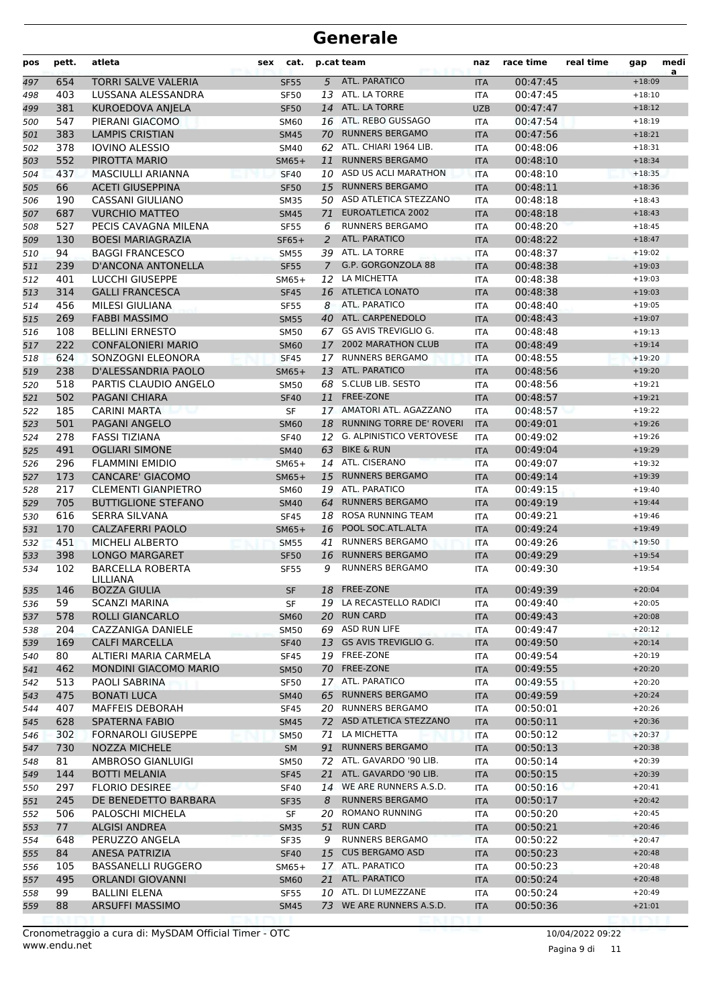| pos        | pett.      | atleta                                             | cat.<br>sex            |                | p.cat team                                 | naz               | race time            | real time | gap                  | medi |
|------------|------------|----------------------------------------------------|------------------------|----------------|--------------------------------------------|-------------------|----------------------|-----------|----------------------|------|
| 497        | 654        | <b>TORRI SALVE VALERIA</b>                         | <b>SF55</b>            | 5              | ATL. PARATICO                              | <b>ITA</b>        | 00:47:45             |           | $+18:09$             | a    |
| 498        | 403        | LUSSANA ALESSANDRA                                 | <b>SF50</b>            |                | 13 ATL. LA TORRE                           | ITA               | 00:47:45             |           | $+18:10$             |      |
| 499        | 381        | <b>KUROEDOVA ANJELA</b>                            | <b>SF50</b>            |                | 14 ATL. LA TORRE                           | <b>UZB</b>        | 00:47:47             |           | $+18:12$             |      |
| 500        | 547        | PIERANI GIACOMO                                    | <b>SM60</b>            |                | 16 ATL. REBO GUSSAGO                       | <b>ITA</b>        | 00:47:54             |           | $+18:19$             |      |
| 501        | 383        | <b>LAMPIS CRISTIAN</b>                             | <b>SM45</b>            | 70             | <b>RUNNERS BERGAMO</b>                     | <b>ITA</b>        | 00:47:56             |           | $+18:21$             |      |
| 502        | 378        | <b>IOVINO ALESSIO</b>                              | <b>SM40</b>            |                | 62 ATL. CHIARI 1964 LIB.                   | <b>ITA</b>        | 00:48:06             |           | $+18:31$             |      |
| 503        | 552        | PIROTTA MARIO                                      | $SM65+$                | 11             | <b>RUNNERS BERGAMO</b>                     | <b>ITA</b>        | 00:48:10             |           | $+18:34$             |      |
| 504        | 437        | <b>MASCIULLI ARIANNA</b>                           | <b>SF40</b>            |                | 10 ASD US ACLI MARATHON                    | <b>ITA</b>        | 00:48:10             |           | $+18:35$             |      |
| 505        | 66         | <b>ACETI GIUSEPPINA</b>                            | <b>SF50</b>            | 15             | <b>RUNNERS BERGAMO</b>                     | <b>ITA</b>        | 00:48:11             |           | $+18:36$             |      |
| 506        | 190        | <b>CASSANI GIULIANO</b>                            | <b>SM35</b>            | 50             | ASD ATLETICA STEZZANO                      | ITA               | 00:48:18             |           | $+18:43$             |      |
| 507        | 687        | <b>VURCHIO MATTEO</b>                              | <b>SM45</b>            | 71             | <b>EUROATLETICA 2002</b>                   | <b>ITA</b>        | 00:48:18             |           | $+18:43$             |      |
| 508        | 527        | PECIS CAVAGNA MILENA                               | <b>SF55</b>            | 6              | <b>RUNNERS BERGAMO</b>                     | <b>ITA</b>        | 00:48:20             |           | $+18:45$             |      |
| 509        | 130        | <b>BOESI MARIAGRAZIA</b>                           | $SF65+$                | $\overline{2}$ | ATL. PARATICO                              | <b>ITA</b>        | 00:48:22             |           | $+18:47$             |      |
| 510        | 94         | <b>BAGGI FRANCESCO</b>                             | <b>SM55</b>            |                | 39 ATL. LA TORRE                           | <b>ITA</b>        | 00:48:37             |           | $+19:02$             |      |
| 511        | 239        | <b>D'ANCONA ANTONELLA</b>                          | <b>SF55</b>            | $\overline{7}$ | G.P. GORGONZOLA 88                         | <b>ITA</b>        | 00:48:38             |           | $+19:03$             |      |
| 512        | 401        | <b>LUCCHI GIUSEPPE</b>                             | $SM65+$                | 12             | LA MICHETTA                                | <b>ITA</b>        | 00:48:38             |           | $+19:03$             |      |
| 513        | 314        | <b>GALLI FRANCESCA</b>                             | <b>SF45</b>            |                | 16 ATLETICA LONATO                         | <b>ITA</b>        | 00:48:38             |           | $+19:03$             |      |
| 514        | 456        | MILESI GIULIANA                                    | <b>SF55</b>            | 8              | ATL. PARATICO                              | <b>ITA</b>        | 00:48:40             |           | $+19:05$             |      |
| 515        | 269        | <b>FABBI MASSIMO</b>                               | <b>SM55</b>            |                | 40 ATL. CARPENEDOLO                        | <b>ITA</b>        | 00:48:43             |           | $+19:07$             |      |
| 516        | 108        | <b>BELLINI ERNESTO</b>                             | SM50                   |                | 67 GS AVIS TREVIGLIO G.                    | <b>ITA</b>        | 00:48:48             |           | $+19:13$             |      |
| 517        | 222        | <b>CONFALONIERI MARIO</b>                          | <b>SM60</b>            | 17             | <b>2002 MARATHON CLUB</b>                  | <b>ITA</b>        | 00:48:49             |           | $+19:14$             |      |
| 518        | 624        | SONZOGNI ELEONORA                                  | <b>SF45</b>            | 17             | <b>RUNNERS BERGAMO</b>                     | <b>ITA</b>        | 00:48:55             |           | $+19:20$             |      |
| 519        | 238        | D'ALESSANDRIA PAOLO                                | $SM65+$                | 13             | ATL. PARATICO                              | <b>ITA</b>        | 00:48:56             |           | $+19:20$             |      |
| 520        | 518        | PARTIS CLAUDIO ANGELO                              | <b>SM50</b>            | 68             | S.CLUB LIB. SESTO                          | <b>ITA</b>        | 00:48:56             |           | $+19:21$             |      |
| 521        | 502        | <b>PAGANI CHIARA</b>                               | <b>SF40</b>            | 11             | FREE-ZONE                                  | <b>ITA</b>        | 00:48:57             |           | $+19:21$             |      |
| 522        | 185        | <b>CARINI MARTA</b>                                | SF                     |                | 17 AMATORI ATL. AGAZZANO                   | <b>ITA</b>        | 00:48:57             |           | $+19:22$             |      |
| 523        | 501        | <b>PAGANI ANGELO</b>                               | <b>SM60</b>            | 18             | <b>RUNNING TORRE DE' ROVERI</b>            | <b>ITA</b>        | 00:49:01             |           | $+19:26$             |      |
| 524        | 278        | <b>FASSI TIZIANA</b>                               | <b>SF40</b>            | 12             | <b>G. ALPINISTICO VERTOVESE</b>            | <b>ITA</b>        | 00:49:02             |           | $+19:26$             |      |
| 525        | 491        | <b>OGLIARI SIMONE</b>                              | <b>SM40</b>            | 63             | <b>BIKE &amp; RUN</b>                      | <b>ITA</b>        | 00:49:04             |           | $+19:29$             |      |
| 526        | 296        | <b>FLAMMINI EMIDIO</b>                             | $SM65+$                |                | 14 ATL. CISERANO                           | <b>ITA</b>        | 00:49:07             |           | $+19:32$             |      |
| 527        | 173        | <b>CANCARE' GIACOMO</b>                            | $SM65+$                | 15             | <b>RUNNERS BERGAMO</b>                     | <b>ITA</b>        | 00:49:14             |           | $+19:39$             |      |
| 528        | 217        | <b>CLEMENTI GIANPIETRO</b>                         | SM60                   |                | 19 ATL. PARATICO<br><b>RUNNERS BERGAMO</b> | <b>ITA</b>        | 00:49:15             |           | $+19:40$             |      |
| 529        | 705<br>616 | <b>BUTTIGLIONE STEFANO</b><br><b>SERRA SILVANA</b> | <b>SM40</b>            | 64<br>18       | ROSA RUNNING TEAM                          | <b>ITA</b>        | 00:49:19<br>00:49:21 |           | $+19:44$<br>$+19:46$ |      |
| 530<br>531 | 170        | <b>CALZAFERRI PAOLO</b>                            | <b>SF45</b><br>$SM65+$ | 16             | POOL SOC.ATL.ALTA                          | ITA<br><b>ITA</b> | 00:49:24             |           | $+19:49$             |      |
| 532        | 451        | <b>MICHELI ALBERTO</b>                             | <b>SM55</b>            | 41             | <b>RUNNERS BERGAMO</b>                     | <b>ITA</b>        | 00:49:26             |           | $+19:50$             |      |
| 533        | 398        | <b>LONGO MARGARET</b>                              | <b>SF50</b>            | 16             | <b>RUNNERS BERGAMO</b>                     | <b>ITA</b>        | 00:49:29             |           | $+19:54$             |      |
| 534        | 102        | <b>BARCELLA ROBERTA</b>                            | <b>SF55</b>            | 9              | <b>RUNNERS BERGAMO</b>                     | <b>ITA</b>        | 00:49:30             |           | $+19:54$             |      |
|            |            | LILLIANA                                           |                        |                |                                            |                   |                      |           |                      |      |
| 535        | 146        | <b>BOZZA GIULIA</b>                                | SF                     |                | 18 FREE-ZONE                               | <b>ITA</b>        | 00:49:39             |           | $+20:04$             |      |
| 536        | 59         | <b>SCANZI MARINA</b>                               | SF                     |                | 19 LA RECASTELLO RADICI                    | ITA               | 00:49:40             |           | $+20:05$             |      |
| 537        | 578        | ROLLI GIANCARLO                                    | <b>SM60</b>            | 20             | <b>RUN CARD</b>                            | <b>ITA</b>        | 00:49:43             |           | $+20:08$             |      |
| 538        | 204        | CAZZANIGA DANIELE                                  | SM50                   |                | 69 ASD RUN LIFE                            | ITA               | 00:49:47             |           | $+20:12$             |      |
| 539        | 169        | <b>CALFI MARCELLA</b>                              | <b>SF40</b>            |                | 13 GS AVIS TREVIGLIO G.                    | <b>ITA</b>        | 00:49:50             |           | $+20:14$             |      |
| 540        | 80         | ALTIERI MARIA CARMELA                              | <b>SF45</b>            |                | 19 FREE-ZONE                               | ITA               | 00:49:54             |           | $+20:19$             |      |
| 541        | 462        | <b>MONDINI GIACOMO MARIO</b>                       | <b>SM50</b>            |                | 70 FREE-ZONE                               | <b>ITA</b>        | 00:49:55             |           | $+20:20$             |      |
| 542        | 513        | PAOLI SABRINA                                      | <b>SF50</b>            |                | 17 ATL. PARATICO                           | ITA               | 00:49:55             |           | $+20:20$             |      |
| 543        | 475        | <b>BONATI LUCA</b>                                 | <b>SM40</b>            |                | 65 RUNNERS BERGAMO                         | <b>ITA</b>        | 00:49:59             |           | $+20:24$             |      |
| 544        | 407        | <b>MAFFEIS DEBORAH</b>                             | <b>SF45</b>            |                | 20 RUNNERS BERGAMO                         | ITA               | 00:50:01             |           | $+20:26$             |      |
| 545        | 628        | <b>SPATERNA FABIO</b>                              | <b>SM45</b>            |                | 72 ASD ATLETICA STEZZANO                   | <b>ITA</b>        | 00:50:11             |           | $+20:36$             |      |
| 546        | 302        | <b>FORNAROLI GIUSEPPE</b>                          | SM50                   | 71             | LA MICHETTA                                | ITA               | 00:50:12             |           | $+20:37$             |      |
| 547        | 730        | <b>NOZZA MICHELE</b>                               | SM                     |                | 91 RUNNERS BERGAMO                         | <b>ITA</b>        | 00:50:13             |           | $+20:38$             |      |
| 548        | 81         | AMBROSO GIANLUIGI                                  | <b>SM50</b>            |                | 72 ATL. GAVARDO '90 LIB.                   | ITA               | 00:50:14             |           | $+20:39$             |      |
| 549        | 144        | <b>BOTTI MELANIA</b>                               | <b>SF45</b>            | 21             | ATL. GAVARDO '90 LIB.                      | <b>ITA</b>        | 00:50:15             |           | $+20:39$             |      |
| 550        | 297        | <b>FLORIO DESIREE</b>                              | <b>SF40</b>            |                | 14 WE ARE RUNNERS A.S.D.                   | ITA               | 00:50:16             |           | $+20:41$             |      |
| 551        | 245        | DE BENEDETTO BARBARA                               | <b>SF35</b>            | 8              | <b>RUNNERS BERGAMO</b>                     | <b>ITA</b>        | 00:50:17             |           | $+20:42$             |      |
| 552        | 506        | PALOSCHI MICHELA                                   | SF                     |                | 20 ROMANO RUNNING                          | ITA               | 00:50:20             |           | $+20:45$             |      |
| 553        | 77         | <b>ALGISI ANDREA</b>                               | <b>SM35</b>            |                | 51 RUN CARD                                | <b>ITA</b>        | 00:50:21             |           | $+20:46$             |      |
| 554        | 648        | PERUZZO ANGELA                                     | SF35                   | 9              | <b>RUNNERS BERGAMO</b>                     | ITA               | 00:50:22             |           | $+20:47$             |      |
| 555        | 84         | <b>ANESA PATRIZIA</b>                              | <b>SF40</b>            | 15             | <b>CUS BERGAMO ASD</b>                     | <b>ITA</b>        | 00:50:23             |           | $+20:48$             |      |
| 556        | 105        | <b>BASSANELLI RUGGERO</b>                          | $SM65+$                |                | 17 ATL. PARATICO                           | ITA               | 00:50:23             |           | $+20:48$             |      |
| 557        | 495        | <b>ORLANDI GIOVANNI</b>                            | <b>SM60</b>            |                | 21 ATL. PARATICO                           | <b>ITA</b>        | 00:50:24             |           | $+20:48$             |      |
| 558        | 99         | <b>BALLINI ELENA</b>                               | SF55                   |                | 10 ATL. DI LUMEZZANE                       | ITA               | 00:50:24             |           | $+20:49$             |      |
| 559        | 88         | ARSUFFI MASSIMO                                    | <b>SM45</b>            |                | 73 WE ARE RUNNERS A.S.D.                   | <b>ITA</b>        | 00:50:36             |           | $+21:01$             |      |
|            |            |                                                    |                        |                |                                            |                   |                      |           |                      |      |

Pagina 9 di 11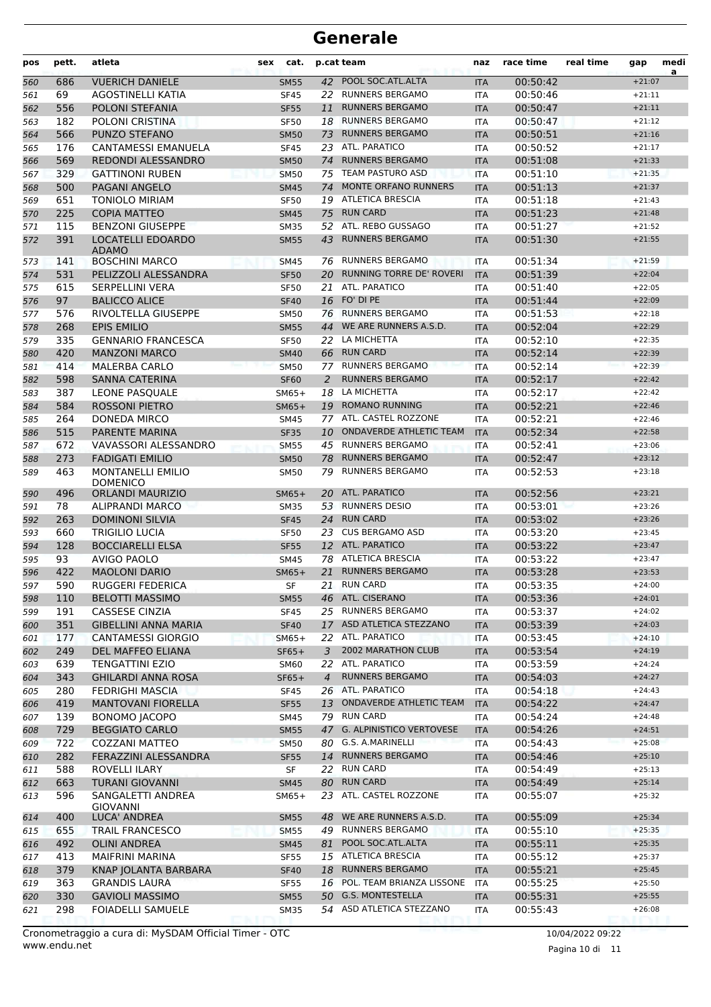| pos | pett. | atleta                                      | sex | cat.        |                | p.cat team                      | naz        | race time | real time | gap                  | medi |
|-----|-------|---------------------------------------------|-----|-------------|----------------|---------------------------------|------------|-----------|-----------|----------------------|------|
| 560 | 686   | <b>VUERICH DANIELE</b>                      |     | <b>SM55</b> | 42             | POOL SOC.ATL.ALTA               | <b>ITA</b> | 00:50:42  |           | $+21:07$             | a    |
| 561 | 69    | AGOSTINELLI KATIA                           |     | <b>SF45</b> |                | 22 RUNNERS BERGAMO              | <b>ITA</b> | 00:50:46  |           | $+21:11$             |      |
| 562 | 556   | POLONI STEFANIA                             |     | <b>SF55</b> | 11             | <b>RUNNERS BERGAMO</b>          | <b>ITA</b> | 00:50:47  |           | $+21:11$             |      |
| 563 | 182   | POLONI CRISTINA                             |     | <b>SF50</b> | 18             | <b>RUNNERS BERGAMO</b>          | <b>ITA</b> | 00:50:47  |           | $+21:12$             |      |
| 564 | 566   | PUNZO STEFANO                               |     | <b>SM50</b> | 73             | <b>RUNNERS BERGAMO</b>          | <b>ITA</b> | 00:50:51  |           | $+21:16$             |      |
| 565 | 176   | <b>CANTAMESSI EMANUELA</b>                  |     | <b>SF45</b> |                | 23 ATL. PARATICO                | <b>ITA</b> | 00:50:52  |           | $+21:17$             |      |
| 566 | 569   | REDONDI ALESSANDRO                          |     | <b>SM50</b> | 74             | <b>RUNNERS BERGAMO</b>          | <b>ITA</b> | 00:51:08  |           | $+21:33$             |      |
| 567 | 329   | <b>GATTINONI RUBEN</b>                      |     | <b>SM50</b> |                | 75 TEAM PASTURO ASD             | <b>ITA</b> | 00:51:10  |           | $+21:35$             |      |
| 568 | 500   | <b>PAGANI ANGELO</b>                        |     | <b>SM45</b> | 74             | <b>MONTE ORFANO RUNNERS</b>     | <b>ITA</b> | 00:51:13  |           | $+21:37$             |      |
| 569 | 651   | <b>TONIOLO MIRIAM</b>                       |     | <b>SF50</b> | 19             | <b>ATLETICA BRESCIA</b>         | <b>ITA</b> | 00:51:18  |           | $+21:43$             |      |
| 570 | 225   | <b>COPIA MATTEO</b>                         |     | <b>SM45</b> | 75             | <b>RUN CARD</b>                 | <b>ITA</b> | 00:51:23  |           | $+21:48$             |      |
| 571 | 115   | <b>BENZONI GIUSEPPE</b>                     |     | <b>SM35</b> |                | 52 ATL. REBO GUSSAGO            | <b>ITA</b> | 00:51:27  |           | $+21:52$             |      |
| 572 | 391   | LOCATELLI EDOARDO<br><b>ADAMO</b>           |     | <b>SM55</b> | 43             | <b>RUNNERS BERGAMO</b>          | <b>ITA</b> | 00:51:30  |           | $+21:55$             |      |
| 573 | 141   | <b>BOSCHINI MARCO</b>                       |     | <b>SM45</b> |                | 76 RUNNERS BERGAMO              | ITA        | 00:51:34  |           | $+21:59$             |      |
| 574 | 531   | PELIZZOLI ALESSANDRA                        |     | <b>SF50</b> | 20             | <b>RUNNING TORRE DE' ROVERI</b> | <b>ITA</b> | 00:51:39  |           | $+22:04$             |      |
| 575 | 615   | <b>SERPELLINI VERA</b>                      |     | <b>SF50</b> |                | 21 ATL. PARATICO                | <b>ITA</b> | 00:51:40  |           | $+22:05$             |      |
| 576 | 97    | <b>BALICCO ALICE</b>                        |     | <b>SF40</b> | 16             | FO' DI PE                       | <b>ITA</b> | 00:51:44  |           | $+22:09$             |      |
| 577 | 576   | RIVOLTELLA GIUSEPPE                         |     | SM50        |                | <b>76 RUNNERS BERGAMO</b>       | <b>ITA</b> | 00:51:53  |           | $+22:18$             |      |
| 578 | 268   | <b>EPIS EMILIO</b>                          |     | <b>SM55</b> | 44             | WE ARE RUNNERS A.S.D.           | <b>ITA</b> | 00:52:04  |           | $+22:29$             |      |
| 579 | 335   | <b>GENNARIO FRANCESCA</b>                   |     | <b>SF50</b> | 22             | LA MICHETTA                     | <b>ITA</b> | 00:52:10  |           | $+22:35$             |      |
| 580 | 420   | <b>MANZONI MARCO</b>                        |     | <b>SM40</b> |                | 66 RUN CARD                     | <b>ITA</b> | 00:52:14  |           | $+22:39$             |      |
| 581 | 414   | <b>MALERBA CARLO</b>                        |     | <b>SM50</b> | 77             | <b>RUNNERS BERGAMO</b>          | <b>ITA</b> | 00:52:14  |           | $+22:39$             |      |
| 582 | 598   | <b>SANNA CATERINA</b>                       |     | <b>SF60</b> | 2              | <b>RUNNERS BERGAMO</b>          | <b>ITA</b> | 00:52:17  |           | $+22:42$             |      |
| 583 | 387   | LEONE PASQUALE                              |     | $SM65+$     | 18             | LA MICHETTA                     | <b>ITA</b> | 00:52:17  |           | $+22:42$             |      |
| 584 | 584   | <b>ROSSONI PIETRO</b>                       |     | $SM65+$     |                | 19 ROMANO RUNNING               | <b>ITA</b> | 00:52:21  |           | $+22:46$             |      |
| 585 | 264   | <b>DONEDA MIRCO</b>                         |     | <b>SM45</b> |                | 77 ATL. CASTEL ROZZONE          | ITA        | 00:52:21  |           | $+22:46$             |      |
| 586 | 515   | PARENTE MARINA                              |     | <b>SF35</b> |                | 10 ONDAVERDE ATHLETIC TEAM      | <b>ITA</b> | 00:52:34  |           | $+22:58$             |      |
| 587 | 672   | VAVASSORI ALESSANDRO                        |     | <b>SM55</b> |                | 45 RUNNERS BERGAMO              | <b>ITA</b> | 00:52:41  |           | $+23:06$             |      |
| 588 | 273   | <b>FADIGATI EMILIO</b>                      |     | <b>SM50</b> | 78             | <b>RUNNERS BERGAMO</b>          | <b>ITA</b> | 00:52:47  |           | $+23:12$             |      |
| 589 | 463   | <b>MONTANELLI EMILIO</b><br><b>DOMENICO</b> |     | <b>SM50</b> | 79             | <b>RUNNERS BERGAMO</b>          | ITA        | 00:52:53  |           | $+23:18$             |      |
| 590 | 496   | <b>ORLANDI MAURIZIO</b>                     |     | $SM65+$     |                | 20 ATL. PARATICO                | <b>ITA</b> | 00:52:56  |           | $+23:21$             |      |
| 591 | 78    | ALIPRANDI MARCO                             |     | <b>SM35</b> |                | 53 RUNNERS DESIO                | <b>ITA</b> | 00:53:01  |           | $+23:26$             |      |
| 592 | 263   | <b>DOMINONI SILVIA</b>                      |     | <b>SF45</b> | 24             | <b>RUN CARD</b>                 | <b>ITA</b> | 00:53:02  |           | $+23:26$             |      |
| 593 | 660   | TRIGILIO LUCIA                              |     | <b>SF50</b> |                | 23 CUS BERGAMO ASD              | <b>ITA</b> | 00:53:20  |           | $+23:45$             |      |
| 594 | 128   | <b>BOCCIARELLI ELSA</b>                     |     | <b>SF55</b> |                | 12 ATL. PARATICO                | <b>ITA</b> | 00:53:22  |           | $+23:47$             |      |
| 595 | 93    | <b>AVIGO PAOLO</b>                          |     | <b>SM45</b> |                | 78 ATLETICA BRESCIA             | <b>ITA</b> | 00:53:22  |           | $+23:47$             |      |
| 596 | 422   | <b>MAOLONI DARIO</b>                        |     | $SM65+$     | 21             | <b>RUNNERS BERGAMO</b>          | <b>ITA</b> | 00:53:28  |           | $+23:53$             |      |
| 597 | 590   | RUGGERI FEDERICA                            |     | SF          | 21             | <b>RUN CARD</b>                 | <b>ITA</b> | 00:53:35  |           | $+24:00$             |      |
| 598 | 110   | <b>BELOTTI MASSIMO</b>                      |     | <b>SM55</b> |                | 46 ATL. CISERANO                | <b>ITA</b> | 00:53:36  |           | $+24:01$             |      |
| 599 | 191   | <b>CASSESE CINZIA</b>                       |     | <b>SF45</b> |                | 25 RUNNERS BERGAMO              | <b>ITA</b> | 00:53:37  |           | $+24:02$             |      |
| 600 | 351   | <b>GIBELLINI ANNA MARIA</b>                 |     | <b>SF40</b> |                | 17 ASD ATLETICA STEZZANO        | <b>ITA</b> | 00:53:39  |           | $+24:03$             |      |
| 601 | 177   | <b>CANTAMESSI GIORGIO</b>                   |     | $SM65+$     |                | 22 ATL. PARATICO                | ITA        | 00:53:45  |           | $+24:10$             |      |
| 602 | 249   | DEL MAFFEO ELIANA                           |     | $SF65+$     | 3              | <b>2002 MARATHON CLUB</b>       | <b>ITA</b> | 00:53:54  |           | $+24:19$             |      |
| 603 | 639   | <b>TENGATTINI EZIO</b>                      |     | SM60        |                | 22 ATL. PARATICO                | ITA        | 00:53:59  |           | $+24:24$             |      |
| 604 | 343   | <b>GHILARDI ANNA ROSA</b>                   |     | $SF65+$     | $\overline{4}$ | <b>RUNNERS BERGAMO</b>          | <b>ITA</b> | 00:54:03  |           | $+24:27$             |      |
| 605 | 280   | <b>FEDRIGHI MASCIA</b>                      |     | SF45        |                | 26 ATL. PARATICO                | <b>ITA</b> | 00:54:18  |           | $+24:43$             |      |
| 606 | 419   | <b>MANTOVANI FIORELLA</b>                   |     | <b>SF55</b> | 13             | ONDAVERDE ATHLETIC TEAM         | <b>ITA</b> | 00:54:22  |           | $+24:47$             |      |
| 607 | 139   | <b>BONOMO JACOPO</b>                        |     | SM45        | 79             | <b>RUN CARD</b>                 | ITA        | 00:54:24  |           | $+24:48$             |      |
| 608 | 729   | <b>BEGGIATO CARLO</b>                       |     | <b>SM55</b> | 47             | G. ALPINISTICO VERTOVESE        | <b>ITA</b> | 00:54:26  |           | $+24:51$             |      |
| 609 | 722   | COZZANI MATTEO                              |     | <b>SM50</b> |                | 80 G.S. A.MARINELLI             | <b>ITA</b> | 00:54:43  |           | $+25:08$             |      |
| 610 | 282   | FERAZZINI ALESSANDRA                        |     | <b>SF55</b> | 14             | <b>RUNNERS BERGAMO</b>          | <b>ITA</b> | 00:54:46  |           | $+25:10$             |      |
| 611 | 588   | ROVELLI ILARY                               |     | SF          |                | 22 RUN CARD                     | <b>ITA</b> | 00:54:49  |           | $+25:13$             |      |
| 612 | 663   | <b>TURANI GIOVANNI</b>                      |     | <b>SM45</b> | 80             | <b>RUN CARD</b>                 | <b>ITA</b> | 00:54:49  |           | $+25:14$             |      |
|     | 596   | SANGALETTI ANDREA                           |     |             |                | 23 ATL. CASTEL ROZZONE          | <b>ITA</b> | 00:55:07  |           | $+25:32$             |      |
| 613 |       | <b>GIOVANNI</b>                             |     | $SM65+$     |                | WE ARE RUNNERS A.S.D.           |            |           |           |                      |      |
| 614 | 400   | LUCA' ANDREA                                |     | <b>SM55</b> | 48             | RUNNERS BERGAMO                 | <b>ITA</b> | 00:55:09  |           | $+25:34$<br>$+25:35$ |      |
| 615 | 655   | <b>TRAIL FRANCESCO</b>                      |     | <b>SM55</b> | 49             |                                 | ITA        | 00:55:10  |           |                      |      |
| 616 | 492   | <b>OLINI ANDREA</b>                         |     | <b>SM45</b> | 81             | POOL SOC.ATL.ALTA               | <b>ITA</b> | 00:55:11  |           | $+25:35$             |      |
| 617 | 413   | MAIFRINI MARINA                             |     | SF55        |                | 15 ATLETICA BRESCIA             | ITA        | 00:55:12  |           | $+25:37$             |      |
| 618 | 379   | KNAP JOLANTA BARBARA                        |     | <b>SF40</b> | 18             | <b>RUNNERS BERGAMO</b>          | <b>ITA</b> | 00:55:21  |           | $+25:45$             |      |
| 619 | 363   | <b>GRANDIS LAURA</b>                        |     | <b>SF55</b> |                | 16 POL. TEAM BRIANZA LISSONE    | <b>ITA</b> | 00:55:25  |           | $+25:50$             |      |
| 620 | 330   | <b>GAVIOLI MASSIMO</b>                      |     | <b>SM55</b> | 50             | <b>G.S. MONTESTELLA</b>         | <b>ITA</b> | 00:55:31  |           | $+25:55$             |      |
| 621 | 298   | FOIADELLI SAMUELE                           |     | <b>SM35</b> |                | 54 ASD ATLETICA STEZZANO        | ITA        | 00:55:43  |           | $+26:08$             |      |

Pagina 10 di 11